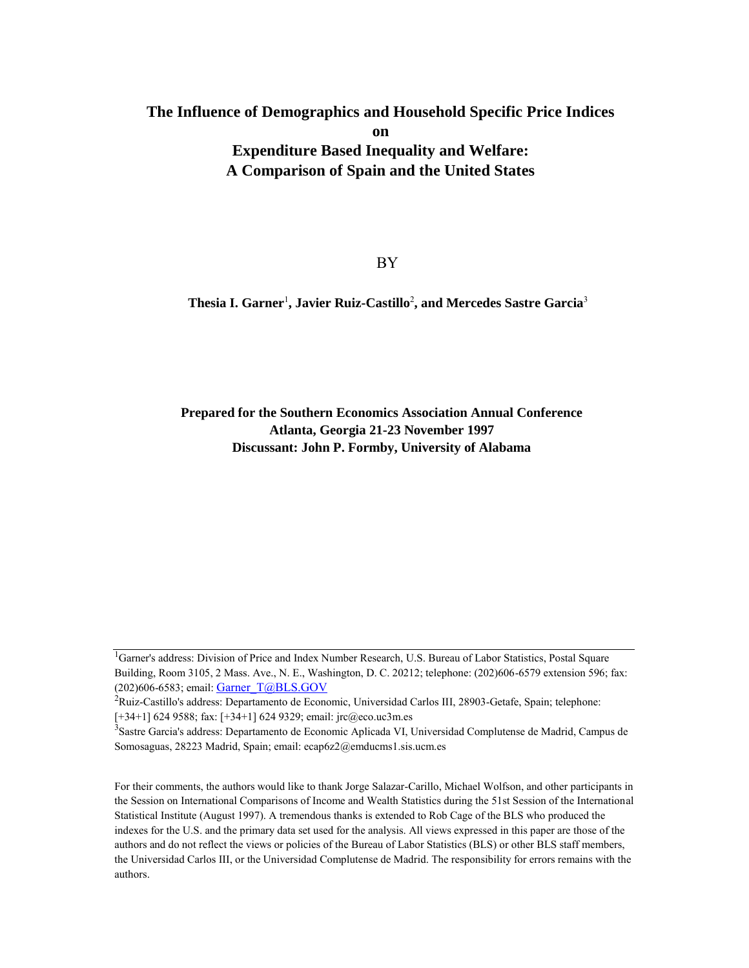## **The Influence of Demographics and Household Specific Price Indices on Expenditure Based Inequality and Welfare: A Comparison of Spain and the United States**

BY

**Thesia I. Garner**<sup>1</sup> **, Javier Ruiz-Castillo**<sup>2</sup> **, and Mercedes Sastre Garcia**<sup>3</sup>

**Prepared for the Southern Economics Association Annual Conference Atlanta, Georgia 21-23 November 1997 Discussant: John P. Formby, University of Alabama**

For their comments, the authors would like to thank Jorge Salazar-Carillo, Michael Wolfson, and other participants in the Session on International Comparisons of Income and Wealth Statistics during the 51st Session of the International Statistical Institute (August 1997). A tremendous thanks is extended to Rob Cage of the BLS who produced the indexes for the U.S. and the primary data set used for the analysis. All views expressed in this paper are those of the authors and do not reflect the views or policies of the Bureau of Labor Statistics (BLS) or other BLS staff members, the Universidad Carlos III, or the Universidad Complutense de Madrid. The responsibility for errors remains with the authors.

<sup>&</sup>lt;sup>1</sup>Garner's address: Division of Price and Index Number Research, U.S. Bureau of Labor Statistics, Postal Square Building, Room 3105, 2 Mass. Ave., N. E., Washington, D. C. 20212; telephone: (202)606-6579 extension 596; fax: (202)606-6583; email: [Garner\\_T@BLS.GOV](mailto:Garner_T@BLS.GOV)

<sup>&</sup>lt;sup>2</sup>Ruiz-Castillo's address: Departamento de Economic, Universidad Carlos III, 28903-Getafe, Spain; telephone: [+34+1] 624 9588; fax: [+34+1] 624 9329; email: jrc@eco.uc3m.es

<sup>&</sup>lt;sup>3</sup>Sastre Garcia's address: Departamento de Economic Aplicada VI, Universidad Complutense de Madrid, Campus de Somosaguas, 28223 Madrid, Spain; email: ecap6z2@emducms1.sis.ucm.es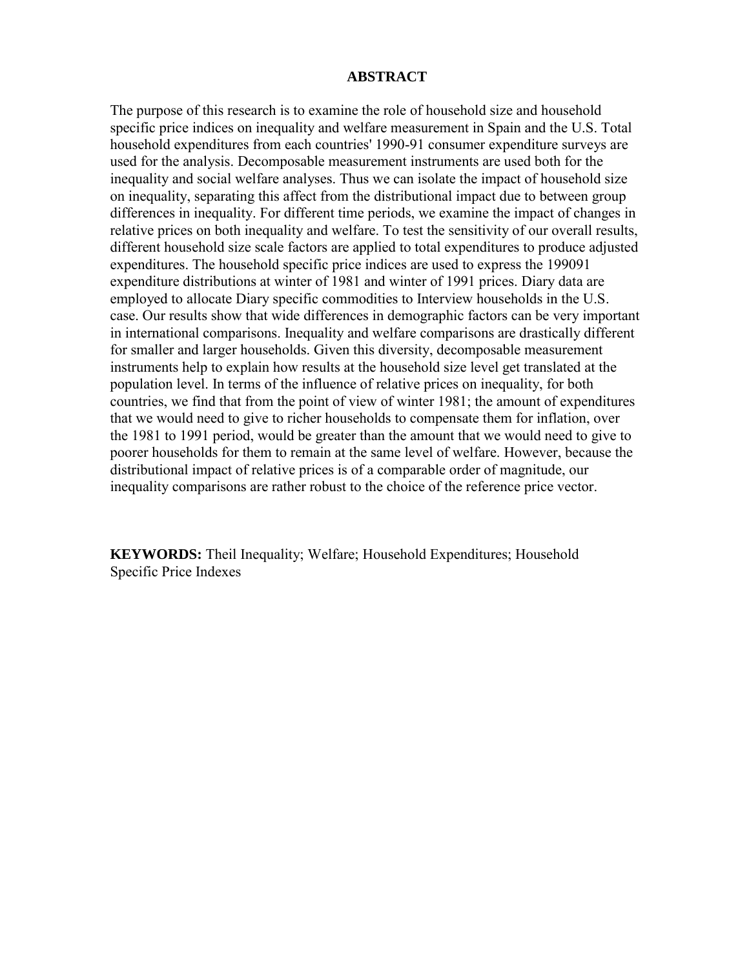### **ABSTRACT**

The purpose of this research is to examine the role of household size and household specific price indices on inequality and welfare measurement in Spain and the U.S. Total household expenditures from each countries' 1990-91 consumer expenditure surveys are used for the analysis. Decomposable measurement instruments are used both for the inequality and social welfare analyses. Thus we can isolate the impact of household size on inequality, separating this affect from the distributional impact due to between group differences in inequality. For different time periods, we examine the impact of changes in relative prices on both inequality and welfare. To test the sensitivity of our overall results, different household size scale factors are applied to total expenditures to produce adjusted expenditures. The household specific price indices are used to express the 199091 expenditure distributions at winter of 1981 and winter of 1991 prices. Diary data are employed to allocate Diary specific commodities to Interview households in the U.S. case. Our results show that wide differences in demographic factors can be very important in international comparisons. Inequality and welfare comparisons are drastically different for smaller and larger households. Given this diversity, decomposable measurement instruments help to explain how results at the household size level get translated at the population level. In terms of the influence of relative prices on inequality, for both countries, we find that from the point of view of winter 1981; the amount of expenditures that we would need to give to richer households to compensate them for inflation, over the 1981 to 1991 period, would be greater than the amount that we would need to give to poorer households for them to remain at the same level of welfare. However, because the distributional impact of relative prices is of a comparable order of magnitude, our inequality comparisons are rather robust to the choice of the reference price vector.

**KEYWORDS:** Theil Inequality; Welfare; Household Expenditures; Household Specific Price Indexes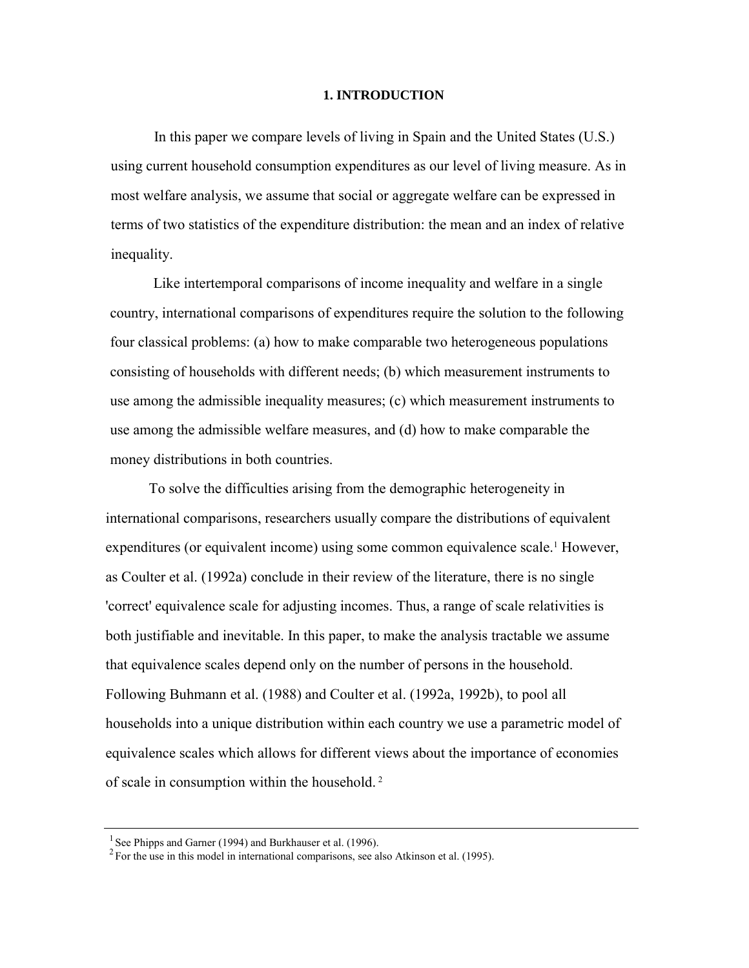#### **1. INTRODUCTION**

In this paper we compare levels of living in Spain and the United States (U.S.) using current household consumption expenditures as our level of living measure. As in most welfare analysis, we assume that social or aggregate welfare can be expressed in terms of two statistics of the expenditure distribution: the mean and an index of relative inequality.

Like intertemporal comparisons of income inequality and welfare in a single country, international comparisons of expenditures require the solution to the following four classical problems: (a) how to make comparable two heterogeneous populations consisting of households with different needs; (b) which measurement instruments to use among the admissible inequality measures; (c) which measurement instruments to use among the admissible welfare measures, and (d) how to make comparable the money distributions in both countries.

To solve the difficulties arising from the demographic heterogeneity in international comparisons, researchers usually compare the distributions of equivalent expenditures (or equivalent income) using some common equivalence scale.<sup>1</sup> However, as Coulter et al. (1992a) conclude in their review of the literature, there is no single 'correct' equivalence scale for adjusting incomes. Thus, a range of scale relativities is both justifiable and inevitable. In this paper, to make the analysis tractable we assume that equivalence scales depend only on the number of persons in the household. Following Buhmann et al. (1988) and Coulter et al. (1992a, 1992b), to pool all households into a unique distribution within each country we use a parametric model of equivalence scales which allows for different views about the importance of economies of scale in consumption within the household. <sup>2</sup>

<sup>&</sup>lt;sup>1</sup> See Phipps and Garner (1994) and Burkhauser et al. (1996).

 $2^2$  For the use in this model in international comparisons, see also Atkinson et al. (1995).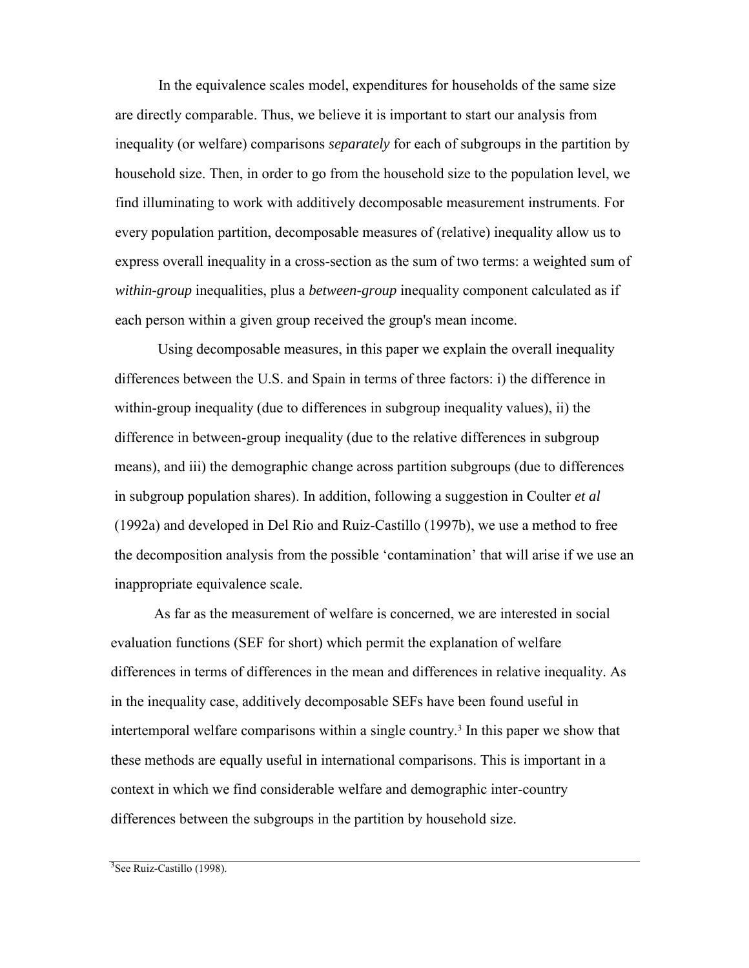In the equivalence scales model, expenditures for households of the same size are directly comparable. Thus, we believe it is important to start our analysis from inequality (or welfare) comparisons *separately* for each of subgroups in the partition by household size. Then, in order to go from the household size to the population level, we find illuminating to work with additively decomposable measurement instruments. For every population partition, decomposable measures of (relative) inequality allow us to express overall inequality in a cross-section as the sum of two terms: a weighted sum of *within-group* inequalities, plus a *between-group* inequality component calculated as if each person within a given group received the group's mean income.

Using decomposable measures, in this paper we explain the overall inequality differences between the U.S. and Spain in terms of three factors: i) the difference in within-group inequality (due to differences in subgroup inequality values), ii) the difference in between-group inequality (due to the relative differences in subgroup means), and iii) the demographic change across partition subgroups (due to differences in subgroup population shares). In addition, following a suggestion in Coulter *et al*  (1992a) and developed in Del Rio and Ruiz-Castillo (1997b), we use a method to free the decomposition analysis from the possible 'contamination' that will arise if we use an inappropriate equivalence scale.

As far as the measurement of welfare is concerned, we are interested in social evaluation functions (SEF for short) which permit the explanation of welfare differences in terms of differences in the mean and differences in relative inequality. As in the inequality case, additively decomposable SEFs have been found useful in intertemporal welfare comparisons within a single country.<sup>3</sup> In this paper we show that these methods are equally useful in international comparisons. This is important in a context in which we find considerable welfare and demographic inter-country differences between the subgroups in the partition by household size.

<sup>3</sup>See Ruiz-Castillo (1998).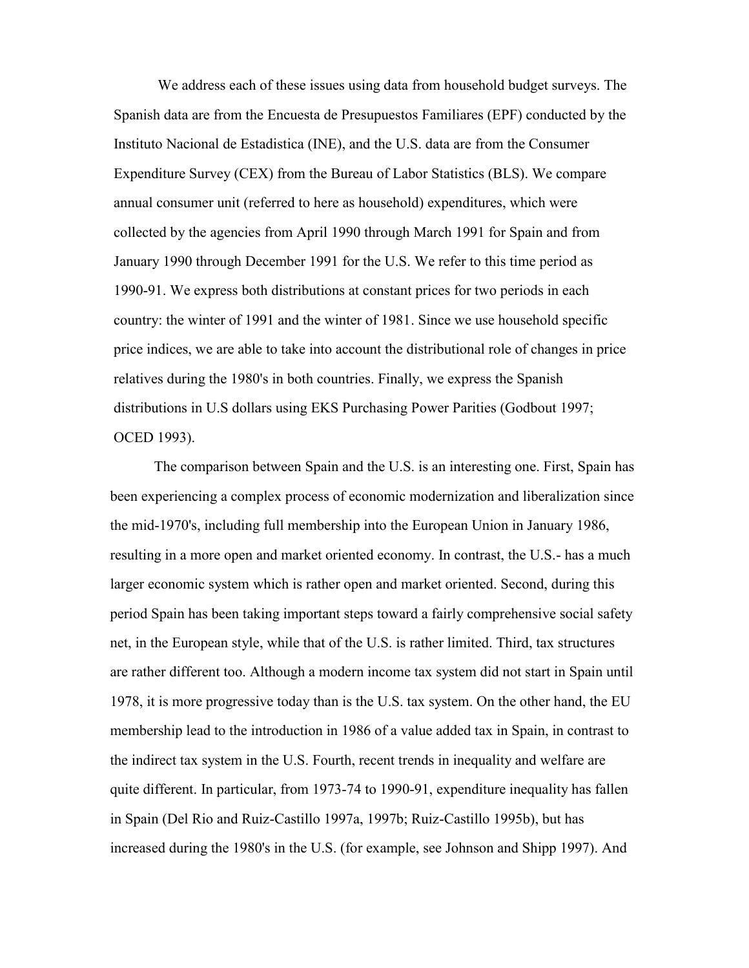We address each of these issues using data from household budget surveys. The Spanish data are from the Encuesta de Presupuestos Familiares (EPF) conducted by the Instituto Nacional de Estadistica (INE), and the U.S. data are from the Consumer Expenditure Survey (CEX) from the Bureau of Labor Statistics (BLS). We compare annual consumer unit (referred to here as household) expenditures, which were collected by the agencies from April 1990 through March 1991 for Spain and from January 1990 through December 1991 for the U.S. We refer to this time period as 1990-91. We express both distributions at constant prices for two periods in each country: the winter of 1991 and the winter of 1981. Since we use household specific price indices, we are able to take into account the distributional role of changes in price relatives during the 1980's in both countries. Finally, we express the Spanish distributions in U.S dollars using EKS Purchasing Power Parities (Godbout 1997; OCED 1993).

The comparison between Spain and the U.S. is an interesting one. First, Spain has been experiencing a complex process of economic modernization and liberalization since the mid-1970's, including full membership into the European Union in January 1986, resulting in a more open and market oriented economy. In contrast, the U.S.- has a much larger economic system which is rather open and market oriented. Second, during this period Spain has been taking important steps toward a fairly comprehensive social safety net, in the European style, while that of the U.S. is rather limited. Third, tax structures are rather different too. Although a modern income tax system did not start in Spain until 1978, it is more progressive today than is the U.S. tax system. On the other hand, the EU membership lead to the introduction in 1986 of a value added tax in Spain, in contrast to the indirect tax system in the U.S. Fourth, recent trends in inequality and welfare are quite different. In particular, from 1973-74 to 1990-91, expenditure inequality has fallen in Spain (Del Rio and Ruiz-Castillo 1997a, 1997b; Ruiz-Castillo 1995b), but has increased during the 1980's in the U.S. (for example, see Johnson and Shipp 1997). And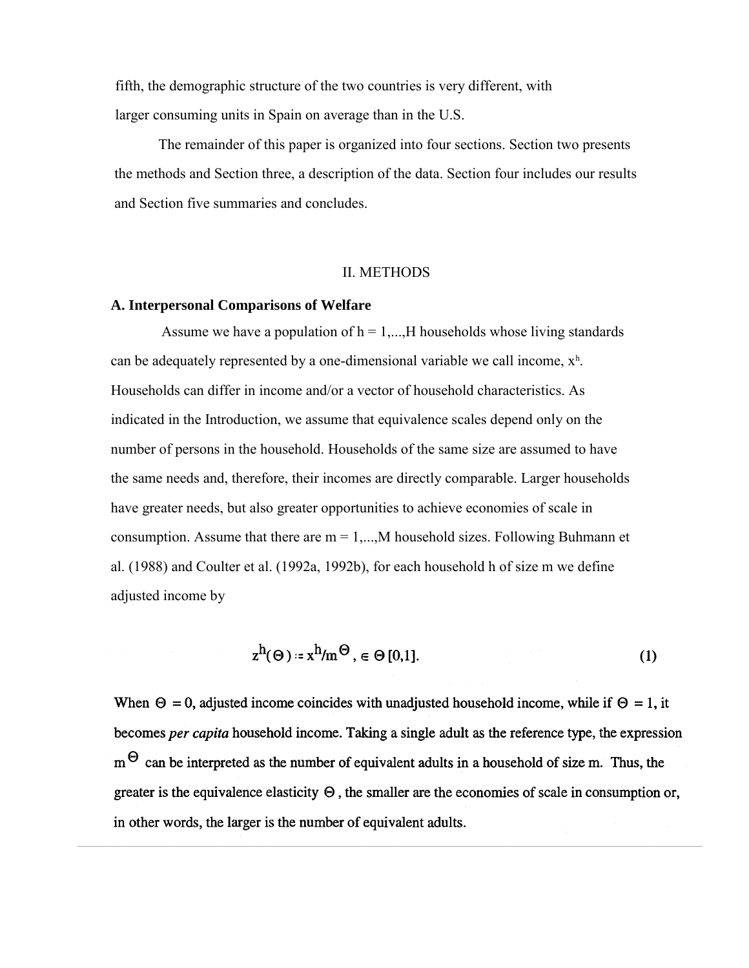fifth, the demographic structure of the two countries is very different, with larger consuming units in Spain on average than in the U.S.

The remainder of this paper is organized into four sections. Section two presents the methods and Section three, a description of the data. Section four includes our results and Section five summaries and concludes.

#### II. METHODS

#### **A. Interpersonal Comparisons of Welfare**

Assume we have a population of  $h = 1,...,H$  households whose living standards can be adequately represented by a one-dimensional variable we call income,  $x<sup>h</sup>$ . Households can differ in income and/or a vector of household characteristics. As indicated in the Introduction, we assume that equivalence scales depend only on the number of persons in the household. Households of the same size are assumed to have the same needs and, therefore, their incomes are directly comparable. Larger households have greater needs, but also greater opportunities to achieve economies of scale in consumption. Assume that there are  $m = 1,...,M$  household sizes. Following Buhmann et al. (1988) and Coulter et al. (1992a, 1992b), for each household h of size m we define adjusted income by

$$
z^h(\Theta) = x^h/m^{\Theta}, \in \Theta[0,1].
$$
 (1)

When  $\Theta = 0$ , adjusted income coincides with unadjusted household income, while if  $\Theta = 1$ , it becomes per capita household income. Taking a single adult as the reference type, the expression  $m^{\Theta}$  can be interpreted as the number of equivalent adults in a household of size m. Thus, the greater is the equivalence elasticity  $\Theta$ , the smaller are the economies of scale in consumption or, in other words, the larger is the number of equivalent adults.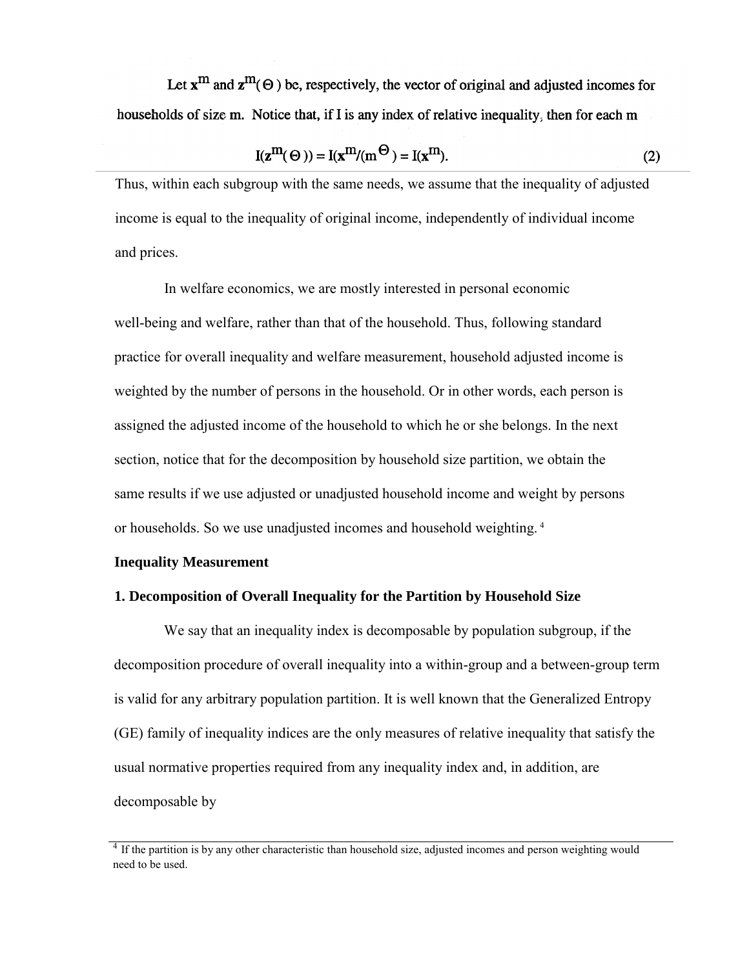Let  $x^m$  and  $z^m(\Theta)$  be, respectively, the vector of original and adjusted incomes for households of size m. Notice that, if I is any index of relative inequality, then for each m

$$
I(z^{m}(\Theta)) = I(x^{m}/(m^{\Theta}) = I(x^{m}).
$$
\n(2)

Thus, within each subgroup with the same needs, we assume that the inequality of adjusted income is equal to the inequality of original income, independently of individual income and prices.

In welfare economics, we are mostly interested in personal economic well-being and welfare, rather than that of the household. Thus, following standard practice for overall inequality and welfare measurement, household adjusted income is weighted by the number of persons in the household. Or in other words, each person is assigned the adjusted income of the household to which he or she belongs. In the next section, notice that for the decomposition by household size partition, we obtain the same results if we use adjusted or unadjusted household income and weight by persons or households. So we use unadjusted incomes and household weighting. <sup>4</sup>

#### **Inequality Measurement**

#### **1. Decomposition of Overall Inequality for the Partition by Household Size**

We say that an inequality index is decomposable by population subgroup, if the decomposition procedure of overall inequality into a within-group and a between-group term is valid for any arbitrary population partition. It is well known that the Generalized Entropy (GE) family of inequality indices are the only measures of relative inequality that satisfy the usual normative properties required from any inequality index and, in addition, are decomposable by

<sup>&</sup>lt;sup>4</sup> If the partition is by any other characteristic than household size, adjusted incomes and person weighting would need to be used.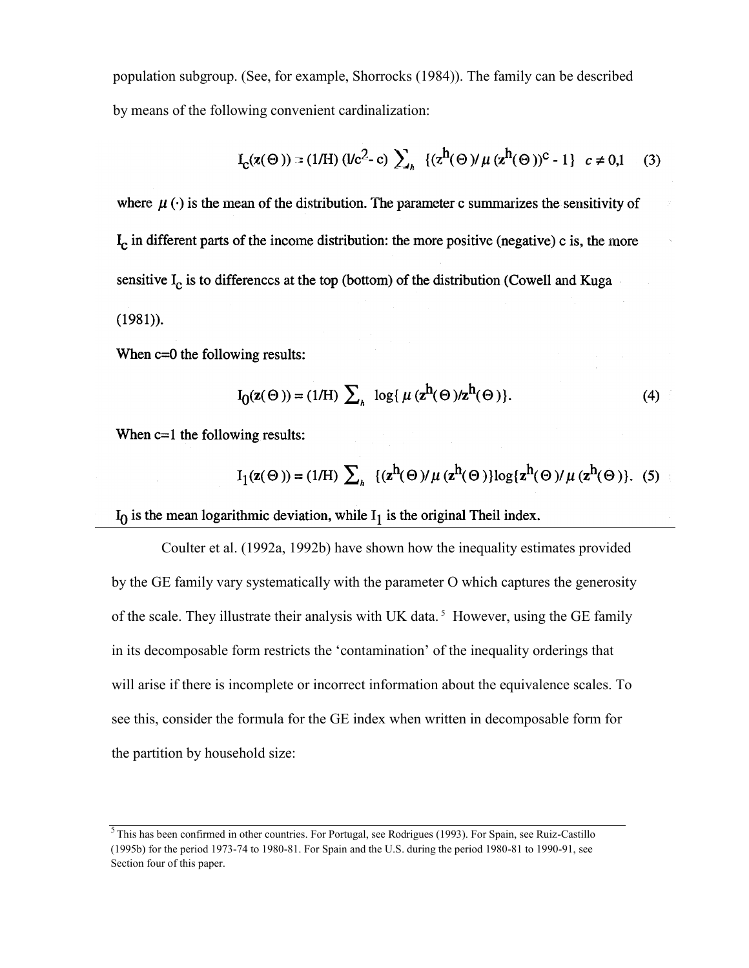population subgroup. (See, for example, Shorrocks (1984)). The family can be described by means of the following convenient cardinalization:

$$
I_{\mathcal{C}}(\mathbf{z}(\Theta)) = (1/\mathcal{H}) (1/c^2 - c) \sum_{k} \{ (z^h(\Theta)) \mu (z^h(\Theta))^c - 1 \} \ c \neq 0, 1 \quad (3)
$$

where  $\mu(\cdot)$  is the mean of the distribution. The parameter c summarizes the sensitivity of I<sub>c</sub> in different parts of the income distribution: the more positive (negative) c is, the more sensitive  $I_c$  is to differences at the top (bottom) of the distribution (Cowell and Kuga  $(1981)$ ).

When  $c=0$  the following results:

$$
I_0(z(\Theta)) = (1/H) \sum_{h} \log\{ \mu (z^h(\Theta)/z^h(\Theta)) \}.
$$
 (4)

When  $c=1$  the following results:

$$
I_1(\mathbf{z}(\Theta)) = (1/\mathbf{H}) \sum_{h} \{ (\mathbf{z}^h(\Theta)) \mu (\mathbf{z}^h(\Theta)) \log \{ \mathbf{z}^h(\Theta) \mu (\mathbf{z}^h(\Theta)) \}. \tag{5}
$$

 $I_0$  is the mean logarithmic deviation, while  $I_1$  is the original Theil index.

Coulter et al. (1992a, 1992b) have shown how the inequality estimates provided by the GE family vary systematically with the parameter O which captures the generosity of the scale. They illustrate their analysis with UK data.<sup>5</sup> However, using the GE family in its decomposable form restricts the 'contamination' of the inequality orderings that will arise if there is incomplete or incorrect information about the equivalence scales. To see this, consider the formula for the GE index when written in decomposable form for the partition by household size:

<sup>&</sup>lt;sup>5</sup> This has been confirmed in other countries. For Portugal, see Rodrigues (1993). For Spain, see Ruiz-Castillo (1995b) for the period 1973-74 to 1980-81. For Spain and the U.S. during the period 1980-81 to 1990-91, see Section four of this paper.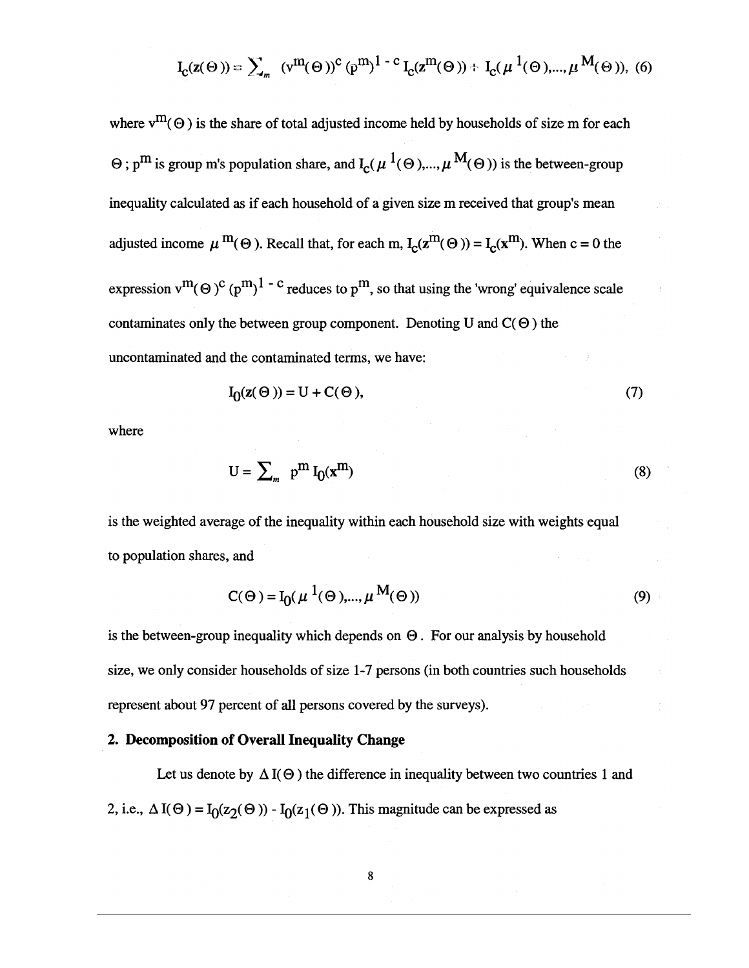$$
I_{c}(z(\Theta)) = \sum_{m} (v^{m}(\Theta))^{c} (p^{m})^{1-c} I_{c}(z^{m}(\Theta)) + I_{c}(\mu^{1}(\Theta), ..., \mu^{M}(\Theta)),
$$
 (6)

where  $v^m(\Theta)$  is the share of total adjusted income held by households of size m for each  $\Theta$ ; p<sup>m</sup> is group m's population share, and  $I_c(\mu^1(\Theta),...,\mu^M(\Theta))$  is the between-group inequality calculated as if each household of a given size m received that group's mean adjusted income  $\mu^{m}(\Theta)$ . Recall that, for each m,  $I_c(z^{m}(\Theta)) = I_c(x^{m})$ . When c = 0 the expression  $v^m(\Theta)^c$  ( $p^m$ )<sup>1 - c</sup> reduces to  $p^m$ , so that using the 'wrong' equivalence scale contaminates only the between group component. Denoting U and  $C(\Theta)$  the uncontaminated and the contaminated terms, we have:

$$
I_0(z(\Theta)) = U + C(\Theta),\tag{7}
$$

where

$$
U = \sum_{m} p^{m} I_0(x^{m})
$$
 (8)

is the weighted average of the inequality within each household size with weights equal to population shares, and

$$
C(\Theta) = I_0(\mu^{1}(\Theta), ..., \mu^{M}(\Theta))
$$
\n(9)

is the between-group inequality which depends on  $\Theta$ . For our analysis by household size, we only consider households of size 1-7 persons (in both countries such households represent about 97 percent of all persons covered by the surveys).

## 2. Decomposition of Overall Inequality Change

Let us denote by  $\Delta I(\Theta)$  the difference in inequality between two countries 1 and 2, i.e.,  $\Delta I(\Theta) = I_0(z_2(\Theta)) - I_0(z_1(\Theta))$ . This magnitude can be expressed as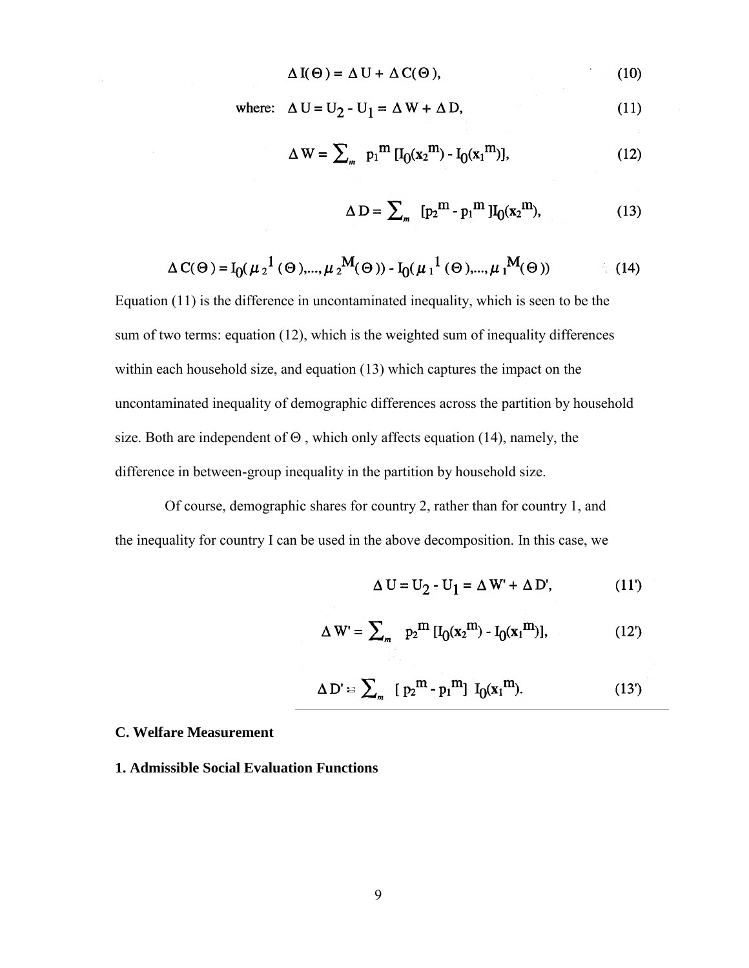$$
\Delta I(\Theta) = \Delta U + \Delta C(\Theta), \qquad (10)
$$

where:  $\Delta U = U_2 - U_1 = \Delta W + \Delta D$ ,  $(11)$ 

$$
\Delta W = \sum_{m} p_1^{m} [I_0(x_2^{m}) - I_0(x_1^{m})], \qquad (12)
$$

$$
\Delta D = \sum_{m} [p_2^m - p_1^m] I_0(x_2^m), \qquad (13)
$$

$$
\Delta C(\Theta) = I_0(\mu_2^{-1}(\Theta), ..., \mu_2^{-M}(\Theta)) - I_0(\mu_1^{-1}(\Theta), ..., \mu_1^{-M}(\Theta))
$$
 (14)

Equation (11) is the difference in uncontaminated inequality, which is seen to be the sum of two terms: equation (12), which is the weighted sum of inequality differences within each household size, and equation (13) which captures the impact on the uncontaminated inequality of demographic differences across the partition by household size. Both are independent of  $\Theta$ , which only affects equation (14), namely, the difference in between-group inequality in the partition by household size.

Of course, demographic shares for country 2, rather than for country 1, and the inequality for country I can be used in the above decomposition. In this case, we

$$
\Delta U = U_2 - U_1 = \Delta W' + \Delta D', \qquad (11')
$$

$$
\Delta W' = \sum_{m} p_2^m [I_0(x_2^m) - I_0(x_1^m)], \qquad (12')
$$

$$
\Delta D' = \sum_{m} [p_2^m - p_1^m] I_0(x_1^m). \qquad (13')
$$

## **C. Welfare Measurement**

## **1. Admissible Social Evaluation Functions**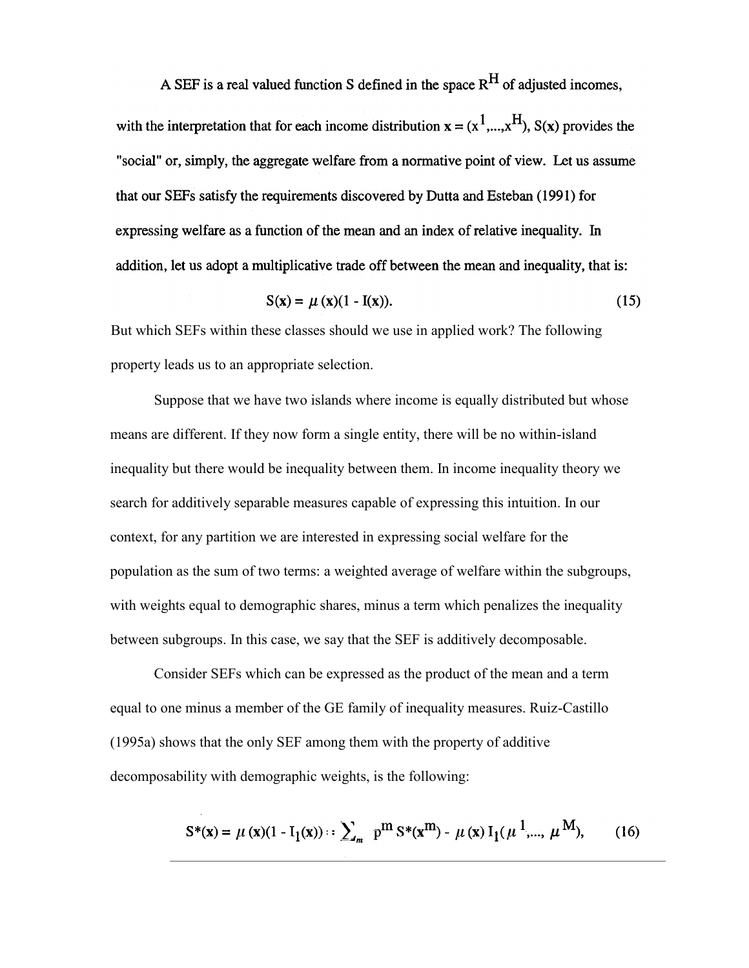A SEF is a real valued function S defined in the space  $R^H$  of adjusted incomes,

with the interpretation that for each income distribution  $x = (x^1, ..., x^H)$ ,  $S(x)$  provides the "social" or, simply, the aggregate welfare from a normative point of view. Let us assume that our SEFs satisfy the requirements discovered by Dutta and Esteban (1991) for expressing welfare as a function of the mean and an index of relative inequality. In addition, let us adopt a multiplicative trade off between the mean and inequality, that is:

$$
S(x) = \mu(x)(1 - I(x)).
$$
 (15)

But which SEFs within these classes should we use in applied work? The following property leads us to an appropriate selection.

Suppose that we have two islands where income is equally distributed but whose means are different. If they now form a single entity, there will be no within-island inequality but there would be inequality between them. In income inequality theory we search for additively separable measures capable of expressing this intuition. In our context, for any partition we are interested in expressing social welfare for the population as the sum of two terms: a weighted average of welfare within the subgroups, with weights equal to demographic shares, minus a term which penalizes the inequality between subgroups. In this case, we say that the SEF is additively decomposable.

Consider SEFs which can be expressed as the product of the mean and a term equal to one minus a member of the GE family of inequality measures. Ruiz-Castillo (1995a) shows that the only SEF among them with the property of additive decomposability with demographic weights, is the following:

$$
S^*(\mathbf{x}) = \mu(\mathbf{x})(1 - I_1(\mathbf{x})) :: \sum_{m} p^m S^*(\mathbf{x}^m) - \mu(\mathbf{x}) I_1(\mu^1, ..., \mu^M), \quad (16)
$$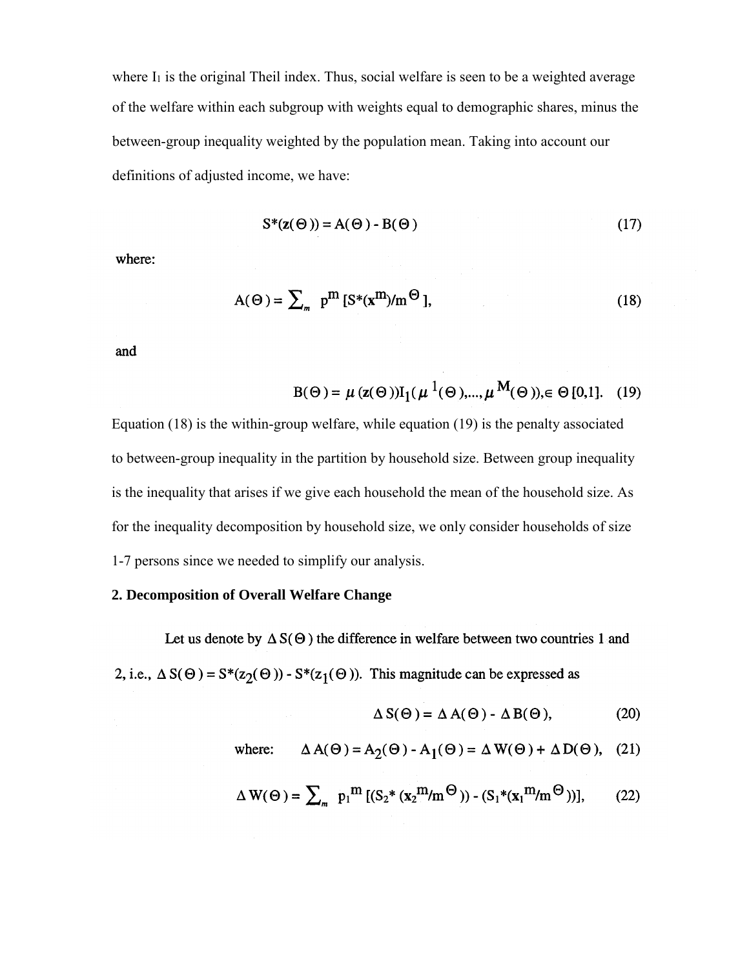where  $I_1$  is the original Theil index. Thus, social welfare is seen to be a weighted average of the welfare within each subgroup with weights equal to demographic shares, minus the between-group inequality weighted by the population mean. Taking into account our definitions of adjusted income, we have:

$$
S^*(z(\Theta)) = A(\Theta) - B(\Theta)
$$
 (17)

where:

$$
A(\Theta) = \sum_{m} p^{m} \left[ S^*(x^m) / m^{\Theta} \right], \tag{18}
$$

and

$$
B(\Theta) = \mu (z(\Theta)) I_1(\mu^{1}(\Theta),..., \mu^{M}(\Theta)), \in \Theta [0,1]. \quad (19)
$$

Equation (18) is the within-group welfare, while equation (19) is the penalty associated to between-group inequality in the partition by household size. Between group inequality is the inequality that arises if we give each household the mean of the household size. As for the inequality decomposition by household size, we only consider households of size 1-7 persons since we needed to simplify our analysis.

## **2. Decomposition of Overall Welfare Change**

Let us denote by  $\Delta S(\Theta)$  the difference in welfare between two countries 1 and 2, i.e.,  $\Delta S(\Theta) = S^*(z_2(\Theta)) - S^*(z_1(\Theta))$ . This magnitude can be expressed as

$$
\Delta S(\Theta) = \Delta A(\Theta) - \Delta B(\Theta), \qquad (20)
$$

where: 
$$
\Delta A(\Theta) = A_2(\Theta) - A_1(\Theta) = \Delta W(\Theta) + \Delta D(\Theta)
$$
, (21)

$$
\Delta W(\Theta) = \sum_{m} p_1^m \left[ (S_2^* \left( \mathbf{x}_2^m / m^{\Theta} \right)) - (S_1^* \left( \mathbf{x}_1^m / m^{\Theta} \right)) \right],\tag{22}
$$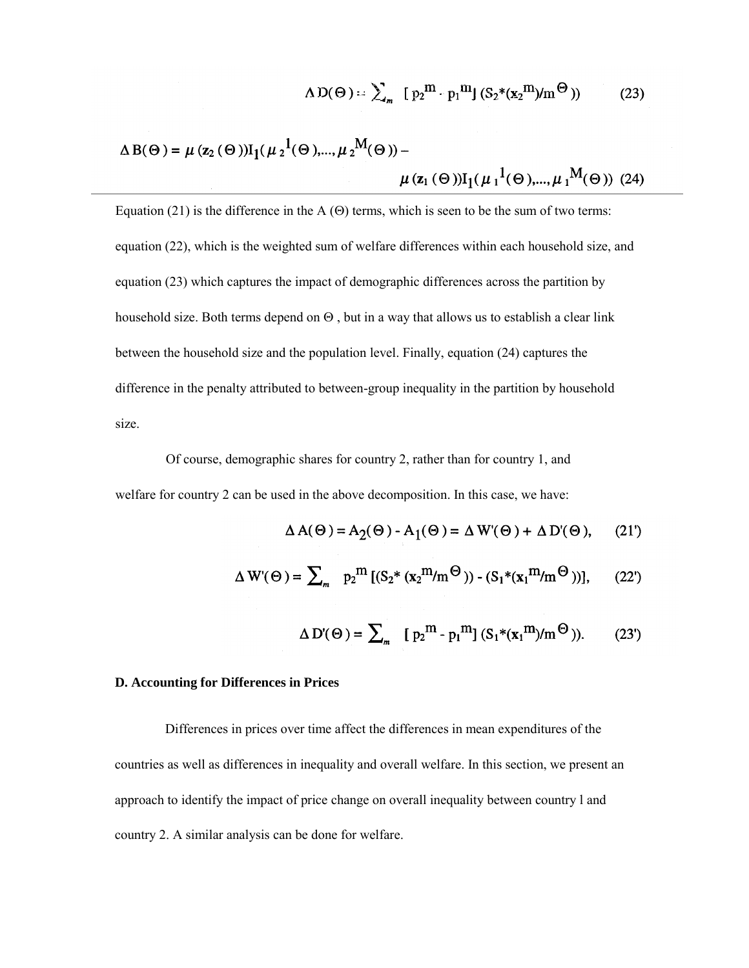$$
\Lambda \operatorname{D}(\Theta) = \sum_{m} [p_2^m \ p_1^m] \left( S_2^*(\mathbf{x}_2^m) / m^{\Theta} \right) \tag{23}
$$

$$
\Delta B(\Theta) = \mu (z_2(\Theta)) I_1(\mu_2^{-1}(\Theta),..., \mu_2^{-M}(\Theta)) - \mu (z_1(\Theta)) I_1(\mu_1^{-1}(\Theta),..., \mu_1^{-M}(\Theta))
$$
 (24)

Equation (21) is the difference in the A  $(\Theta)$  terms, which is seen to be the sum of two terms: equation (22), which is the weighted sum of welfare differences within each household size, and equation (23) which captures the impact of demographic differences across the partition by household size. Both terms depend on  $\Theta$  , but in a way that allows us to establish a clear link between the household size and the population level. Finally, equation (24) captures the difference in the penalty attributed to between-group inequality in the partition by household size.

Of course, demographic shares for country 2, rather than for country 1, and welfare for country 2 can be used in the above decomposition. In this case, we have:

$$
\Delta A(\Theta) = A_2(\Theta) - A_1(\Theta) = \Delta W'(\Theta) + \Delta D'(\Theta), \quad (21')
$$

$$
\Delta W'(\Theta) = \sum_{m} p_2^m \left[ (S_2^* (x_2^m/m^\Theta)) - (S_1^* (x_1^m/m^\Theta)) \right], \qquad (22')
$$

$$
\Delta D'(\Theta) = \sum_{m} [p_2^m - p_1^m] (S_1^*(x_1^m)/m^{\Theta})). \tag{23'}
$$

### **D. Accounting for Differences in Prices**

Differences in prices over time affect the differences in mean expenditures of the countries as well as differences in inequality and overall welfare. In this section, we present an approach to identify the impact of price change on overall inequality between country l and country 2. A similar analysis can be done for welfare.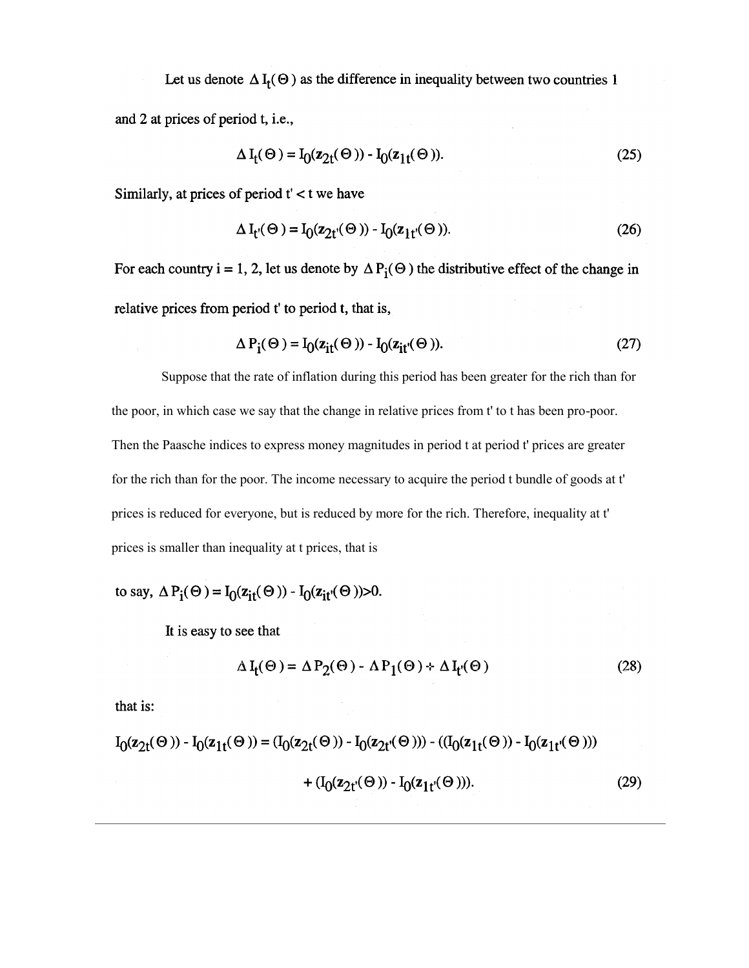Let us denote  $\Delta I_f(\Theta)$  as the difference in inequality between two countries 1

and 2 at prices of period t, i.e.,

$$
\Delta I_t(\Theta) = I_0(z_{2t}(\Theta)) - I_0(z_{1t}(\Theta)).
$$
\n(25)

Similarly, at prices of period  $t' < t$  we have

$$
\Delta I_{t'}(\Theta) = I_0(z_{2t'}(\Theta)) - I_0(z_{1t'}(\Theta)).
$$
\n(26)

For each country i = 1, 2, let us denote by  $\Delta P_i(\Theta)$  the distributive effect of the change in relative prices from period t' to period t, that is,

$$
\Delta P_{i}(\Theta) = I_{0}(z_{it}(\Theta)) - I_{0}(z_{it}(\Theta)).
$$
\n(27)

Suppose that the rate of inflation during this period has been greater for the rich than for the poor, in which case we say that the change in relative prices from t' to t has been pro-poor. Then the Paasche indices to express money magnitudes in period t at period t' prices are greater for the rich than for the poor. The income necessary to acquire the period t bundle of goods at t' prices is reduced for everyone, but is reduced by more for the rich. Therefore, inequality at t' prices is smaller than inequality at t prices, that is

to say, 
$$
\Delta P_i(\Theta) = I_0(z_{it}(\Theta)) - I_0(z_{it}(\Theta)) > 0
$$
.

It is easy to see that

$$
\Delta I_{f}(\Theta) = \Delta P_{2}(\Theta) - \Delta P_{1}(\Theta) + \Delta I_{f}(\Theta)
$$
\n(28)

that is:

$$
I_0(z_{2t}(\Theta)) - I_0(z_{1t}(\Theta)) = (I_0(z_{2t}(\Theta)) - I_0(z_{2t}(\Theta))) - ((I_0(z_{1t}(\Theta)) - I_0(z_{1t}(\Theta))))
$$
  
+ 
$$
(I_0(z_{2t}(\Theta)) - I_0(z_{1t}(\Theta))).
$$
 (29)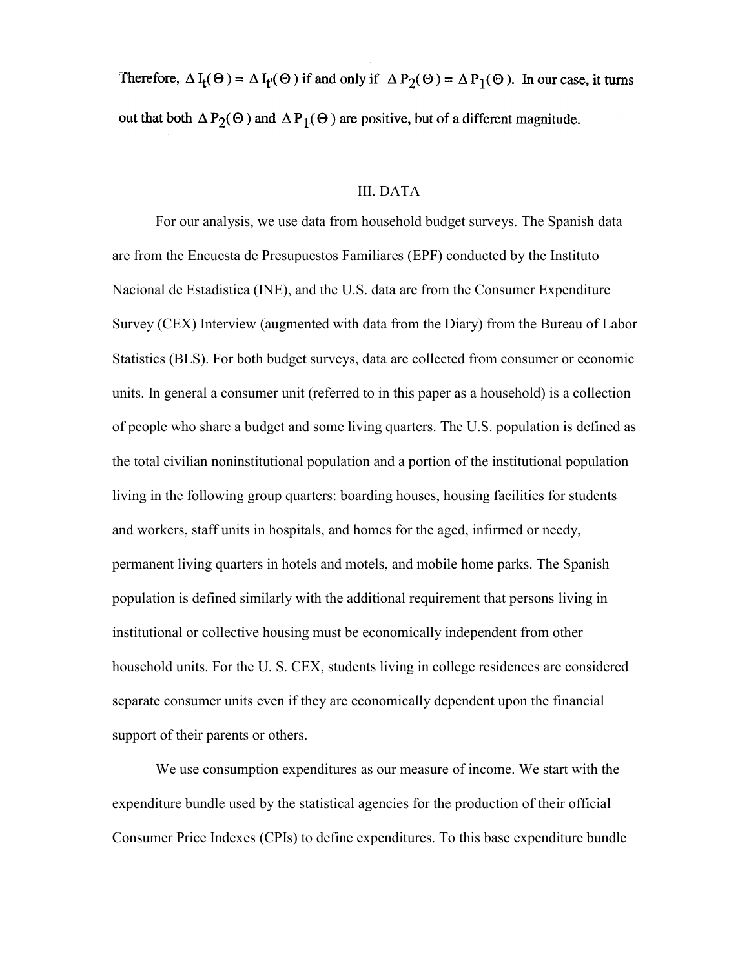Therefore,  $\Delta I_f(\Theta) = \Delta I_f(\Theta)$  if and only if  $\Delta P_2(\Theta) = \Delta P_1(\Theta)$ . In our case, it turns out that both  $\Delta P_2(\Theta)$  and  $\Delta P_1(\Theta)$  are positive, but of a different magnitude.

## III. DATA

For our analysis, we use data from household budget surveys. The Spanish data are from the Encuesta de Presupuestos Familiares (EPF) conducted by the Instituto Nacional de Estadistica (INE), and the U.S. data are from the Consumer Expenditure Survey (CEX) Interview (augmented with data from the Diary) from the Bureau of Labor Statistics (BLS). For both budget surveys, data are collected from consumer or economic units. In general a consumer unit (referred to in this paper as a household) is a collection of people who share a budget and some living quarters. The U.S. population is defined as the total civilian noninstitutional population and a portion of the institutional population living in the following group quarters: boarding houses, housing facilities for students and workers, staff units in hospitals, and homes for the aged, infirmed or needy, permanent living quarters in hotels and motels, and mobile home parks. The Spanish population is defined similarly with the additional requirement that persons living in institutional or collective housing must be economically independent from other household units. For the U. S. CEX, students living in college residences are considered separate consumer units even if they are economically dependent upon the financial support of their parents or others.

We use consumption expenditures as our measure of income. We start with the expenditure bundle used by the statistical agencies for the production of their official Consumer Price Indexes (CPIs) to define expenditures. To this base expenditure bundle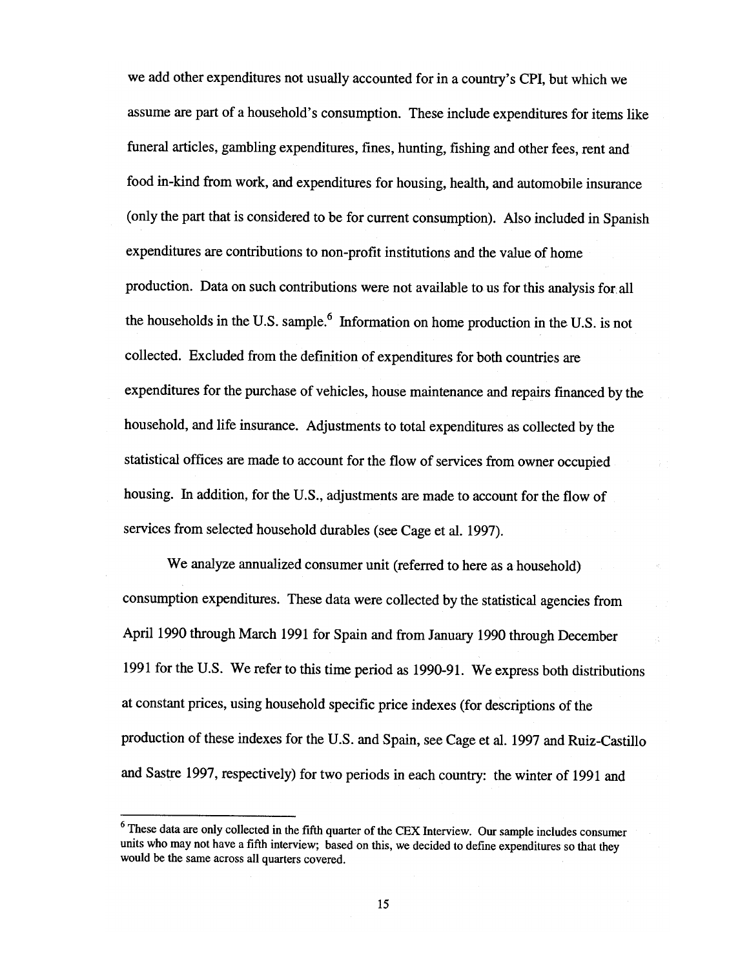we add other expenditures not usually accounted for in a country's CPI, but which we assume are part of a household's consumption. These include expenditures for items like funeral articles, gambling expenditures, fines, hunting, fishing and other fees, rent and food in-kind from work, and expenditures for housing, health, and automobile insurance (only the part that is considered to be for current consumption). Also included in Spanish expenditures are contributions to non-profit institutions and the value of home production. Data on such contributions were not available to us for this analysis for all the households in the U.S. sample.<sup>6</sup> Information on home production in the U.S. is not collected. Excluded from the definition of expenditures for both countries are expenditures for the purchase of vehicles, house maintenance and repairs financed by the household, and life insurance. Adjustments to total expenditures as collected by the statistical offices are made to account for the flow of services from owner occupied housing. In addition, for the U.S., adjustments are made to account for the flow of services from selected household durables (see Cage et al. 1997).

We analyze annualized consumer unit (referred to here as a household) consumption expenditures. These data were collected by the statistical agencies from April 1990 through March 1991 for Spain and from January 1990 through December 1991 for the U.S. We refer to this time period as 1990-91. We express both distributions at constant prices, using household specific price indexes (for descriptions of the production of these indexes for the U.S. and Spain, see Cage et al. 1997 and Ruiz-Castillo and Sastre 1997, respectively) for two periods in each country: the winter of 1991 and

<sup>&</sup>lt;sup>6</sup> These data are only collected in the fifth quarter of the CEX Interview. Our sample includes consumer units who may not have a fifth interview; based on this, we decided to define expenditures so that they would be the same across all quarters covered.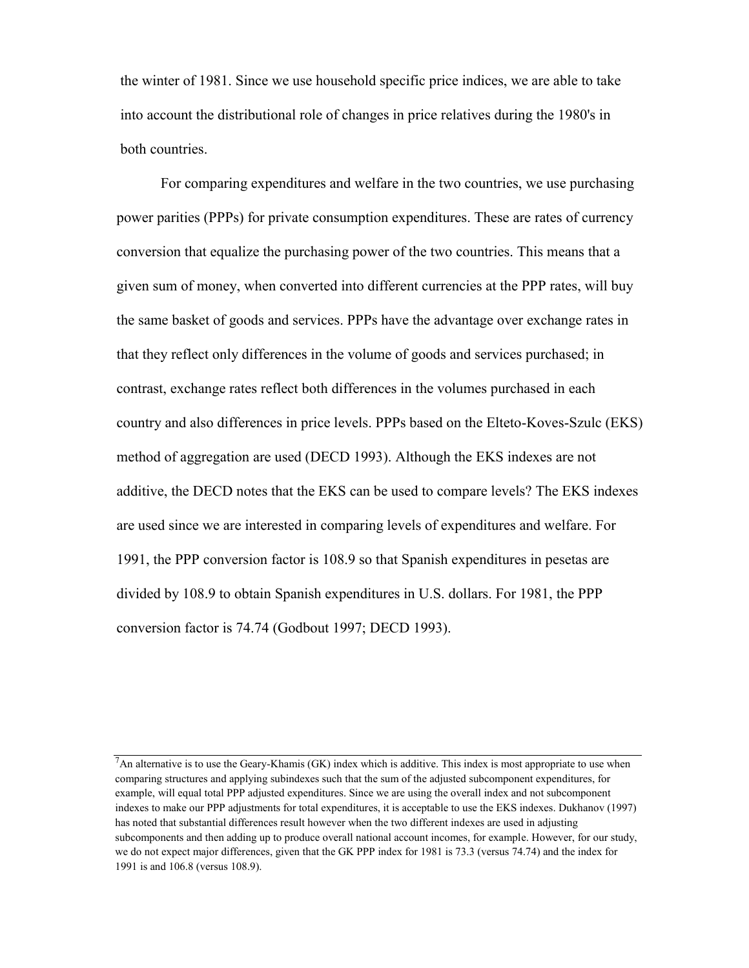the winter of 1981. Since we use household specific price indices, we are able to take into account the distributional role of changes in price relatives during the 1980's in both countries.

For comparing expenditures and welfare in the two countries, we use purchasing power parities (PPPs) for private consumption expenditures. These are rates of currency conversion that equalize the purchasing power of the two countries. This means that a given sum of money, when converted into different currencies at the PPP rates, will buy the same basket of goods and services. PPPs have the advantage over exchange rates in that they reflect only differences in the volume of goods and services purchased; in contrast, exchange rates reflect both differences in the volumes purchased in each country and also differences in price levels. PPPs based on the Elteto-Koves-Szulc (EKS) method of aggregation are used (DECD 1993). Although the EKS indexes are not additive, the DECD notes that the EKS can be used to compare levels? The EKS indexes are used since we are interested in comparing levels of expenditures and welfare. For 1991, the PPP conversion factor is 108.9 so that Spanish expenditures in pesetas are divided by 108.9 to obtain Spanish expenditures in U.S. dollars. For 1981, the PPP conversion factor is 74.74 (Godbout 1997; DECD 1993).

 $<sup>7</sup>$ An alternative is to use the Geary-Khamis (GK) index which is additive. This index is most appropriate to use when</sup> comparing structures and applying subindexes such that the sum of the adjusted subcomponent expenditures, for example, will equal total PPP adjusted expenditures. Since we are using the overall index and not subcomponent indexes to make our PPP adjustments for total expenditures, it is acceptable to use the EKS indexes. Dukhanov (1997) has noted that substantial differences result however when the two different indexes are used in adjusting subcomponents and then adding up to produce overall national account incomes, for example. However, for our study, we do not expect major differences, given that the GK PPP index for 1981 is 73.3 (versus 74.74) and the index for 1991 is and 106.8 (versus 108.9).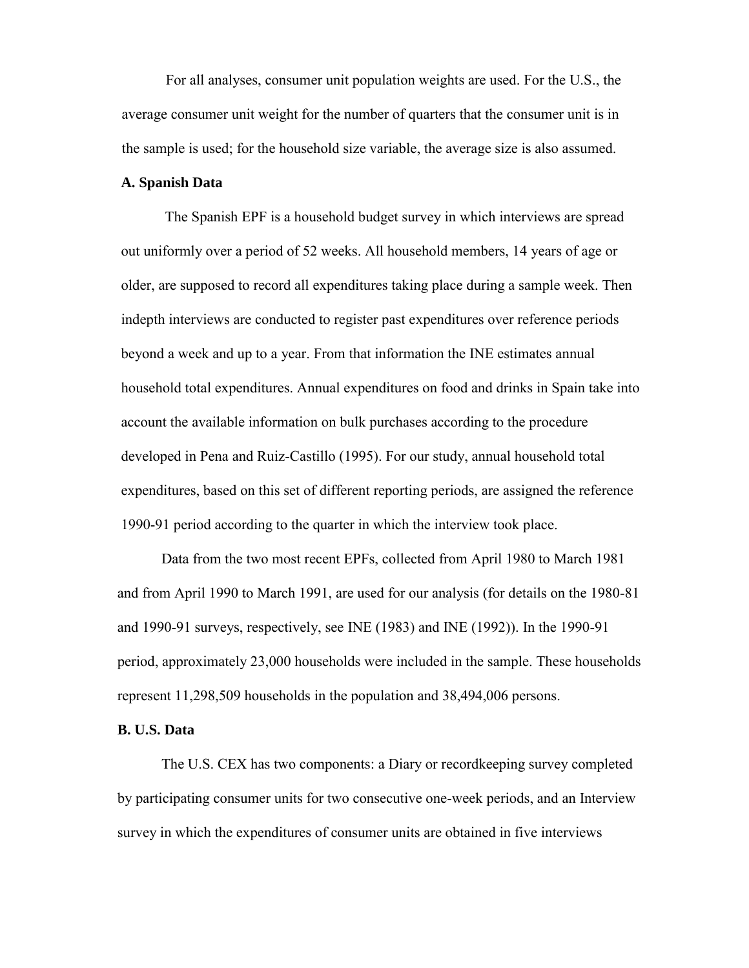For all analyses, consumer unit population weights are used. For the U.S., the average consumer unit weight for the number of quarters that the consumer unit is in the sample is used; for the household size variable, the average size is also assumed.

## **A. Spanish Data**

The Spanish EPF is a household budget survey in which interviews are spread out uniformly over a period of 52 weeks. All household members, 14 years of age or older, are supposed to record all expenditures taking place during a sample week. Then indepth interviews are conducted to register past expenditures over reference periods beyond a week and up to a year. From that information the INE estimates annual household total expenditures. Annual expenditures on food and drinks in Spain take into account the available information on bulk purchases according to the procedure developed in Pena and Ruiz-Castillo (1995). For our study, annual household total expenditures, based on this set of different reporting periods, are assigned the reference 1990-91 period according to the quarter in which the interview took place.

Data from the two most recent EPFs, collected from April 1980 to March 1981 and from April 1990 to March 1991, are used for our analysis (for details on the 1980-81 and 1990-91 surveys, respectively, see INE (1983) and INE (1992)). In the 1990-91 period, approximately 23,000 households were included in the sample. These households represent 11,298,509 households in the population and 38,494,006 persons.

#### **B. U.S. Data**

The U.S. CEX has two components: a Diary or recordkeeping survey completed by participating consumer units for two consecutive one-week periods, and an Interview survey in which the expenditures of consumer units are obtained in five interviews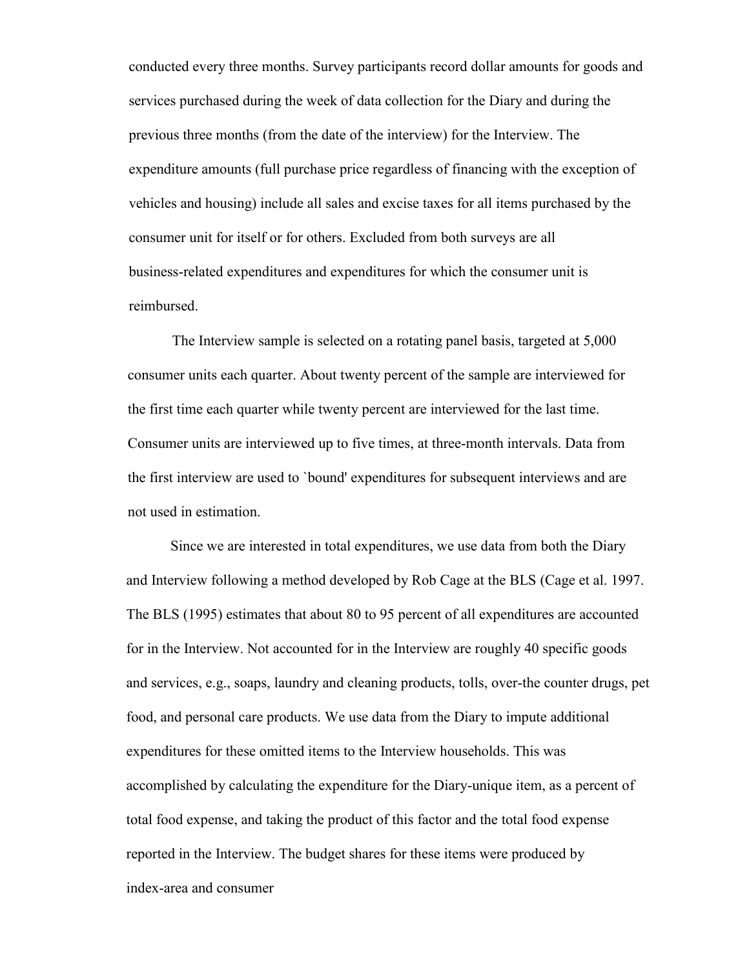conducted every three months. Survey participants record dollar amounts for goods and services purchased during the week of data collection for the Diary and during the previous three months (from the date of the interview) for the Interview. The expenditure amounts (full purchase price regardless of financing with the exception of vehicles and housing) include all sales and excise taxes for all items purchased by the consumer unit for itself or for others. Excluded from both surveys are all business-related expenditures and expenditures for which the consumer unit is reimbursed.

The Interview sample is selected on a rotating panel basis, targeted at 5,000 consumer units each quarter. About twenty percent of the sample are interviewed for the first time each quarter while twenty percent are interviewed for the last time. Consumer units are interviewed up to five times, at three-month intervals. Data from the first interview are used to `bound' expenditures for subsequent interviews and are not used in estimation.

Since we are interested in total expenditures, we use data from both the Diary and Interview following a method developed by Rob Cage at the BLS (Cage et al. 1997. The BLS (1995) estimates that about 80 to 95 percent of all expenditures are accounted for in the Interview. Not accounted for in the Interview are roughly 40 specific goods and services, e.g., soaps, laundry and cleaning products, tolls, over-the counter drugs, pet food, and personal care products. We use data from the Diary to impute additional expenditures for these omitted items to the Interview households. This was accomplished by calculating the expenditure for the Diary-unique item, as a percent of total food expense, and taking the product of this factor and the total food expense reported in the Interview. The budget shares for these items were produced by index-area and consumer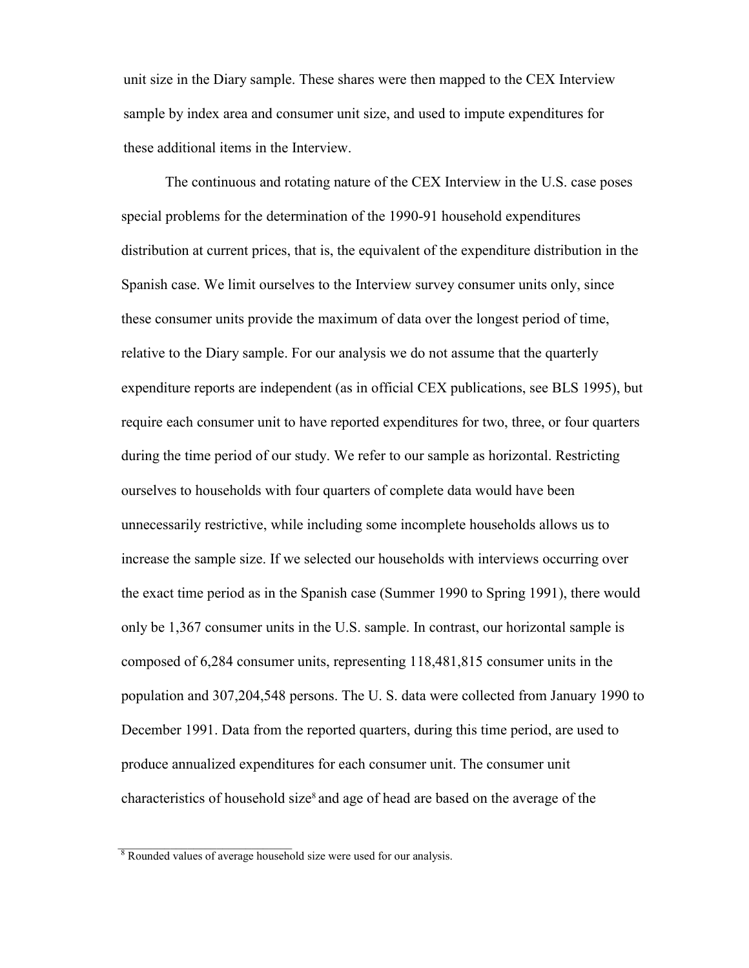unit size in the Diary sample. These shares were then mapped to the CEX Interview sample by index area and consumer unit size, and used to impute expenditures for these additional items in the Interview.

The continuous and rotating nature of the CEX Interview in the U.S. case poses special problems for the determination of the 1990-91 household expenditures distribution at current prices, that is, the equivalent of the expenditure distribution in the Spanish case. We limit ourselves to the Interview survey consumer units only, since these consumer units provide the maximum of data over the longest period of time, relative to the Diary sample. For our analysis we do not assume that the quarterly expenditure reports are independent (as in official CEX publications, see BLS 1995), but require each consumer unit to have reported expenditures for two, three, or four quarters during the time period of our study. We refer to our sample as horizontal. Restricting ourselves to households with four quarters of complete data would have been unnecessarily restrictive, while including some incomplete households allows us to increase the sample size. If we selected our households with interviews occurring over the exact time period as in the Spanish case (Summer 1990 to Spring 1991), there would only be 1,367 consumer units in the U.S. sample. In contrast, our horizontal sample is composed of 6,284 consumer units, representing 118,481,815 consumer units in the population and 307,204,548 persons. The U. S. data were collected from January 1990 to December 1991. Data from the reported quarters, during this time period, are used to produce annualized expenditures for each consumer unit. The consumer unit characteristics of household size<sup>8</sup> and age of head are based on the average of the

\_\_\_\_\_\_\_\_\_\_\_\_\_\_\_\_\_\_\_\_\_\_\_\_\_\_\_\_\_\_

 $8$  Rounded values of average household size were used for our analysis.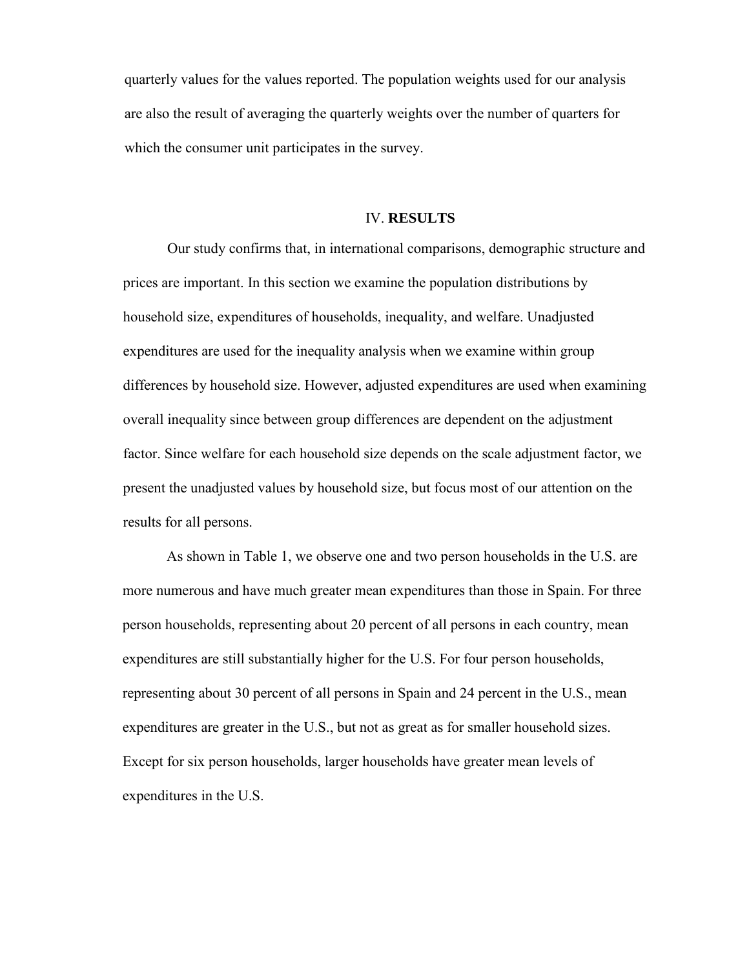quarterly values for the values reported. The population weights used for our analysis are also the result of averaging the quarterly weights over the number of quarters for which the consumer unit participates in the survey.

#### IV. **RESULTS**

Our study confirms that, in international comparisons, demographic structure and prices are important. In this section we examine the population distributions by household size, expenditures of households, inequality, and welfare. Unadjusted expenditures are used for the inequality analysis when we examine within group differences by household size. However, adjusted expenditures are used when examining overall inequality since between group differences are dependent on the adjustment factor. Since welfare for each household size depends on the scale adjustment factor, we present the unadjusted values by household size, but focus most of our attention on the results for all persons.

As shown in Table 1, we observe one and two person households in the U.S. are more numerous and have much greater mean expenditures than those in Spain. For three person households, representing about 20 percent of all persons in each country, mean expenditures are still substantially higher for the U.S. For four person households, representing about 30 percent of all persons in Spain and 24 percent in the U.S., mean expenditures are greater in the U.S., but not as great as for smaller household sizes. Except for six person households, larger households have greater mean levels of expenditures in the U.S.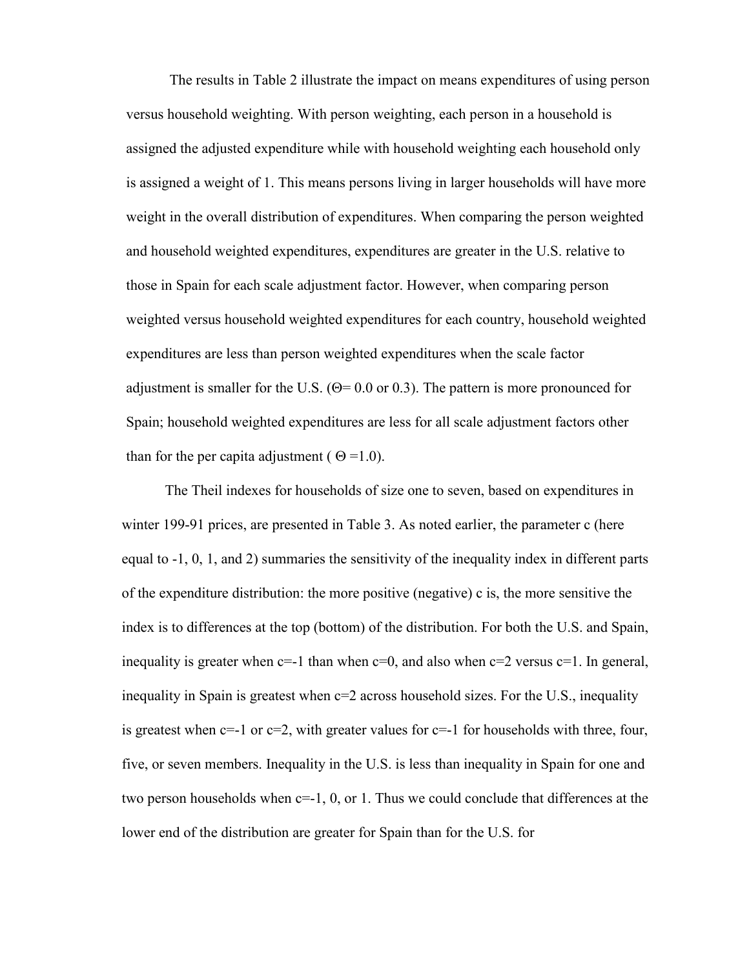The results in Table 2 illustrate the impact on means expenditures of using person versus household weighting. With person weighting, each person in a household is assigned the adjusted expenditure while with household weighting each household only is assigned a weight of 1. This means persons living in larger households will have more weight in the overall distribution of expenditures. When comparing the person weighted and household weighted expenditures, expenditures are greater in the U.S. relative to those in Spain for each scale adjustment factor. However, when comparing person weighted versus household weighted expenditures for each country, household weighted expenditures are less than person weighted expenditures when the scale factor adjustment is smaller for the U.S. ( $\Theta$ = 0.0 or 0.3). The pattern is more pronounced for Spain; household weighted expenditures are less for all scale adjustment factors other than for the per capita adjustment ( $\Theta = 1.0$ ).

The Theil indexes for households of size one to seven, based on expenditures in winter 199-91 prices, are presented in Table 3. As noted earlier, the parameter c (here equal to -1, 0, 1, and 2) summaries the sensitivity of the inequality index in different parts of the expenditure distribution: the more positive (negative) c is, the more sensitive the index is to differences at the top (bottom) of the distribution. For both the U.S. and Spain, inequality is greater when  $c=1$  than when  $c=0$ , and also when  $c=2$  versus  $c=1$ . In general, inequality in Spain is greatest when c=2 across household sizes. For the U.S., inequality is greatest when  $c=-1$  or  $c=2$ , with greater values for  $c=-1$  for households with three, four, five, or seven members. Inequality in the U.S. is less than inequality in Spain for one and two person households when c=-1, 0, or 1. Thus we could conclude that differences at the lower end of the distribution are greater for Spain than for the U.S. for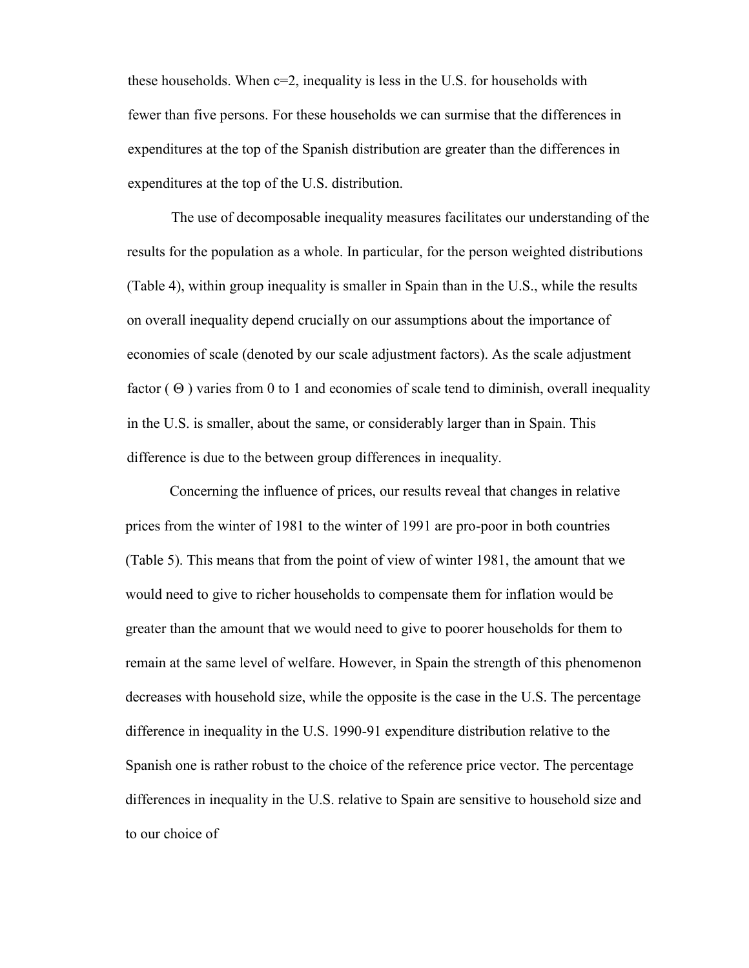these households. When  $c=2$ , inequality is less in the U.S. for households with fewer than five persons. For these households we can surmise that the differences in expenditures at the top of the Spanish distribution are greater than the differences in expenditures at the top of the U.S. distribution.

The use of decomposable inequality measures facilitates our understanding of the results for the population as a whole. In particular, for the person weighted distributions (Table 4), within group inequality is smaller in Spain than in the U.S., while the results on overall inequality depend crucially on our assumptions about the importance of economies of scale (denoted by our scale adjustment factors). As the scale adjustment factor  $(\Theta)$  varies from 0 to 1 and economies of scale tend to diminish, overall inequality in the U.S. is smaller, about the same, or considerably larger than in Spain. This difference is due to the between group differences in inequality.

Concerning the influence of prices, our results reveal that changes in relative prices from the winter of 1981 to the winter of 1991 are pro-poor in both countries (Table 5). This means that from the point of view of winter 1981, the amount that we would need to give to richer households to compensate them for inflation would be greater than the amount that we would need to give to poorer households for them to remain at the same level of welfare. However, in Spain the strength of this phenomenon decreases with household size, while the opposite is the case in the U.S. The percentage difference in inequality in the U.S. 1990-91 expenditure distribution relative to the Spanish one is rather robust to the choice of the reference price vector. The percentage differences in inequality in the U.S. relative to Spain are sensitive to household size and to our choice of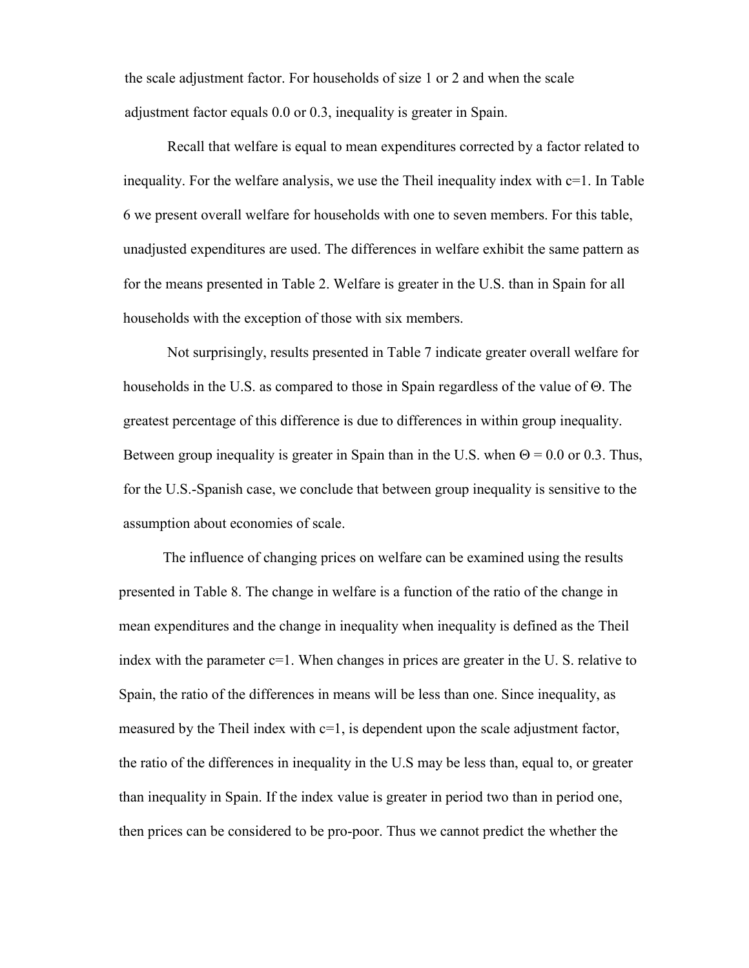the scale adjustment factor. For households of size 1 or 2 and when the scale adjustment factor equals 0.0 or 0.3, inequality is greater in Spain.

Recall that welfare is equal to mean expenditures corrected by a factor related to inequality. For the welfare analysis, we use the Theil inequality index with c=1. In Table 6 we present overall welfare for households with one to seven members. For this table, unadjusted expenditures are used. The differences in welfare exhibit the same pattern as for the means presented in Table 2. Welfare is greater in the U.S. than in Spain for all households with the exception of those with six members.

Not surprisingly, results presented in Table 7 indicate greater overall welfare for households in the U.S. as compared to those in Spain regardless of the value of  $\Theta$ . The greatest percentage of this difference is due to differences in within group inequality. Between group inequality is greater in Spain than in the U.S. when  $\Theta = 0.0$  or 0.3. Thus, for the U.S.-Spanish case, we conclude that between group inequality is sensitive to the assumption about economies of scale.

The influence of changing prices on welfare can be examined using the results presented in Table 8. The change in welfare is a function of the ratio of the change in mean expenditures and the change in inequality when inequality is defined as the Theil index with the parameter  $c=1$ . When changes in prices are greater in the U. S. relative to Spain, the ratio of the differences in means will be less than one. Since inequality, as measured by the Theil index with  $c=1$ , is dependent upon the scale adjustment factor, the ratio of the differences in inequality in the U.S may be less than, equal to, or greater than inequality in Spain. If the index value is greater in period two than in period one, then prices can be considered to be pro-poor. Thus we cannot predict the whether the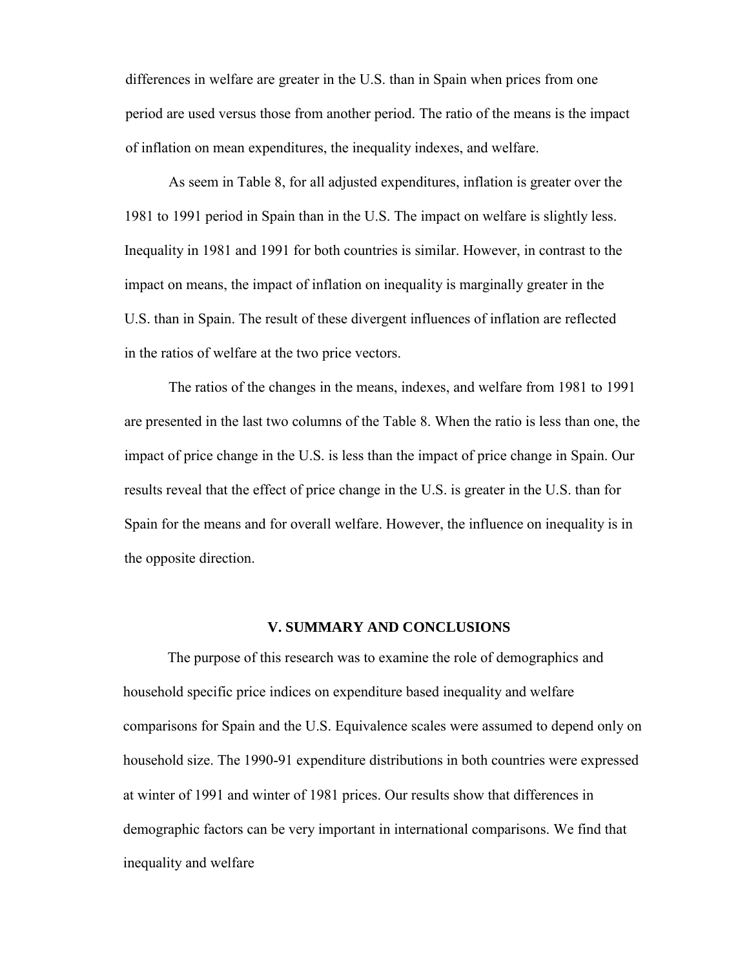differences in welfare are greater in the U.S. than in Spain when prices from one period are used versus those from another period. The ratio of the means is the impact of inflation on mean expenditures, the inequality indexes, and welfare.

As seem in Table 8, for all adjusted expenditures, inflation is greater over the 1981 to 1991 period in Spain than in the U.S. The impact on welfare is slightly less. Inequality in 1981 and 1991 for both countries is similar. However, in contrast to the impact on means, the impact of inflation on inequality is marginally greater in the U.S. than in Spain. The result of these divergent influences of inflation are reflected in the ratios of welfare at the two price vectors.

The ratios of the changes in the means, indexes, and welfare from 1981 to 1991 are presented in the last two columns of the Table 8. When the ratio is less than one, the impact of price change in the U.S. is less than the impact of price change in Spain. Our results reveal that the effect of price change in the U.S. is greater in the U.S. than for Spain for the means and for overall welfare. However, the influence on inequality is in the opposite direction.

## **V. SUMMARY AND CONCLUSIONS**

The purpose of this research was to examine the role of demographics and household specific price indices on expenditure based inequality and welfare comparisons for Spain and the U.S. Equivalence scales were assumed to depend only on household size. The 1990-91 expenditure distributions in both countries were expressed at winter of 1991 and winter of 1981 prices. Our results show that differences in demographic factors can be very important in international comparisons. We find that inequality and welfare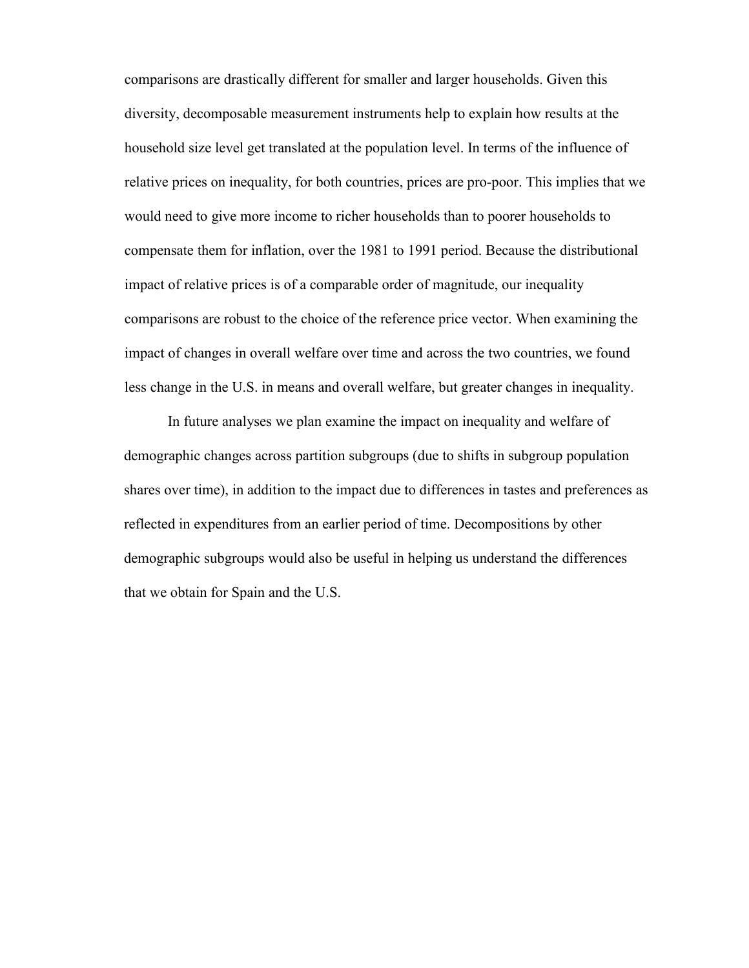comparisons are drastically different for smaller and larger households. Given this diversity, decomposable measurement instruments help to explain how results at the household size level get translated at the population level. In terms of the influence of relative prices on inequality, for both countries, prices are pro-poor. This implies that we would need to give more income to richer households than to poorer households to compensate them for inflation, over the 1981 to 1991 period. Because the distributional impact of relative prices is of a comparable order of magnitude, our inequality comparisons are robust to the choice of the reference price vector. When examining the impact of changes in overall welfare over time and across the two countries, we found less change in the U.S. in means and overall welfare, but greater changes in inequality.

In future analyses we plan examine the impact on inequality and welfare of demographic changes across partition subgroups (due to shifts in subgroup population shares over time), in addition to the impact due to differences in tastes and preferences as reflected in expenditures from an earlier period of time. Decompositions by other demographic subgroups would also be useful in helping us understand the differences that we obtain for Spain and the U.S.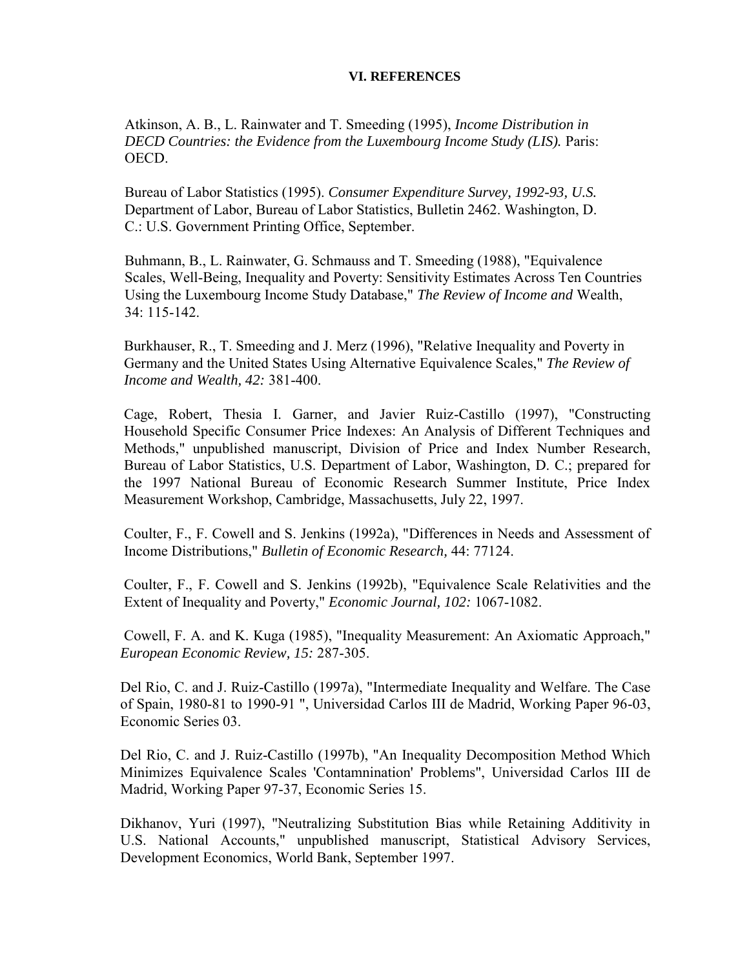#### **VI. REFERENCES**

Atkinson, A. B., L. Rainwater and T. Smeeding (1995), *Income Distribution in DECD Countries: the Evidence from the Luxembourg Income Study (LIS).* Paris: OECD.

Bureau of Labor Statistics (1995). *Consumer Expenditure Survey, 1992-93, U.S.*  Department of Labor, Bureau of Labor Statistics, Bulletin 2462. Washington, D. C.: U.S. Government Printing Office, September.

Buhmann, B., L. Rainwater, G. Schmauss and T. Smeeding (1988), "Equivalence Scales, Well-Being, Inequality and Poverty: Sensitivity Estimates Across Ten Countries Using the Luxembourg Income Study Database," *The Review of Income and* Wealth, 34: 115-142.

Burkhauser, R., T. Smeeding and J. Merz (1996), "Relative Inequality and Poverty in Germany and the United States Using Alternative Equivalence Scales," *The Review of Income and Wealth, 42:* 381-400.

Cage, Robert, Thesia I. Garner, and Javier Ruiz-Castillo (1997), "Constructing Household Specific Consumer Price Indexes: An Analysis of Different Techniques and Methods," unpublished manuscript, Division of Price and Index Number Research, Bureau of Labor Statistics, U.S. Department of Labor, Washington, D. C.; prepared for the 1997 National Bureau of Economic Research Summer Institute, Price Index Measurement Workshop, Cambridge, Massachusetts, July 22, 1997.

Coulter, F., F. Cowell and S. Jenkins (1992a), "Differences in Needs and Assessment of Income Distributions," *Bulletin of Economic Research,* 44: 77124.

Coulter, F., F. Cowell and S. Jenkins (1992b), "Equivalence Scale Relativities and the Extent of Inequality and Poverty," *Economic Journal, 102:* 1067-1082.

Cowell, F. A. and K. Kuga (1985), "Inequality Measurement: An Axiomatic Approach," *European Economic Review, 15:* 287-305.

Del Rio, C. and J. Ruiz-Castillo (1997a), "Intermediate Inequality and Welfare. The Case of Spain, 1980-81 to 1990-91 ", Universidad Carlos III de Madrid, Working Paper 96-03, Economic Series 03.

Del Rio, C. and J. Ruiz-Castillo (1997b), "An Inequality Decomposition Method Which Minimizes Equivalence Scales 'Contamnination' Problems", Universidad Carlos III de Madrid, Working Paper 97-37, Economic Series 15.

Dikhanov, Yuri (1997), "Neutralizing Substitution Bias while Retaining Additivity in U.S. National Accounts," unpublished manuscript, Statistical Advisory Services, Development Economics, World Bank, September 1997.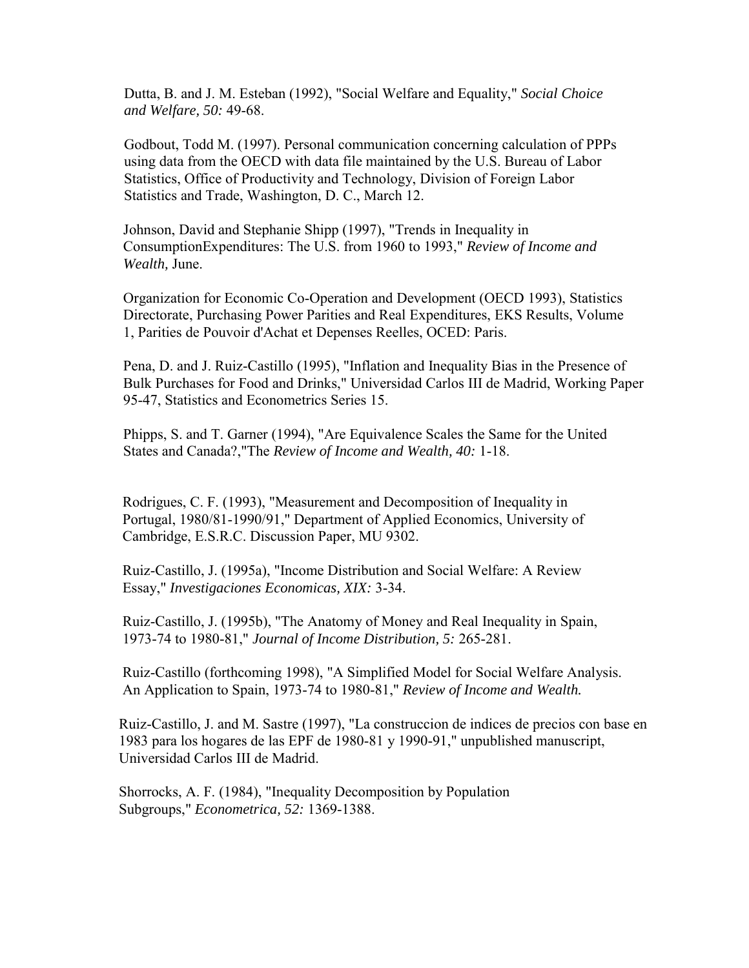Dutta, B. and J. M. Esteban (1992), "Social Welfare and Equality," *Social Choice and Welfare, 50:* 49-68.

Godbout, Todd M. (1997). Personal communication concerning calculation of PPPs using data from the OECD with data file maintained by the U.S. Bureau of Labor Statistics, Office of Productivity and Technology, Division of Foreign Labor Statistics and Trade, Washington, D. C., March 12.

Johnson, David and Stephanie Shipp (1997), "Trends in Inequality in ConsumptionExpenditures: The U.S. from 1960 to 1993," *Review of Income and Wealth,* June.

Organization for Economic Co-Operation and Development (OECD 1993), Statistics Directorate, Purchasing Power Parities and Real Expenditures, EKS Results, Volume 1, Parities de Pouvoir d'Achat et Depenses Reelles, OCED: Paris.

Pena, D. and J. Ruiz-Castillo (1995), "Inflation and Inequality Bias in the Presence of Bulk Purchases for Food and Drinks," Universidad Carlos III de Madrid, Working Paper 95-47, Statistics and Econometrics Series 15.

Phipps, S. and T. Garner (1994), "Are Equivalence Scales the Same for the United States and Canada?,"The *Review of Income and Wealth, 40:* 1-18.

Rodrigues, C. F. (1993), "Measurement and Decomposition of Inequality in Portugal, 1980/81-1990/91," Department of Applied Economics, University of Cambridge, E.S.R.C. Discussion Paper, MU 9302.

Ruiz-Castillo, J. (1995a), "Income Distribution and Social Welfare: A Review Essay," *Investigaciones Economicas, XIX:* 3-34.

Ruiz-Castillo, J. (1995b), "The Anatomy of Money and Real Inequality in Spain, 1973-74 to 1980-81," *Journal of Income Distribution, 5:* 265-281.

Ruiz-Castillo (forthcoming 1998), "A Simplified Model for Social Welfare Analysis. An Application to Spain, 1973-74 to 1980-81," *Review of Income and Wealth.*

Ruiz-Castillo, J. and M. Sastre (1997), "La construccion de indices de precios con base en 1983 para los hogares de las EPF de 1980-81 y 1990-91," unpublished manuscript, Universidad Carlos III de Madrid.

Shorrocks, A. F. (1984), "Inequality Decomposition by Population Subgroups," *Econometrica, 52:* 1369-1388.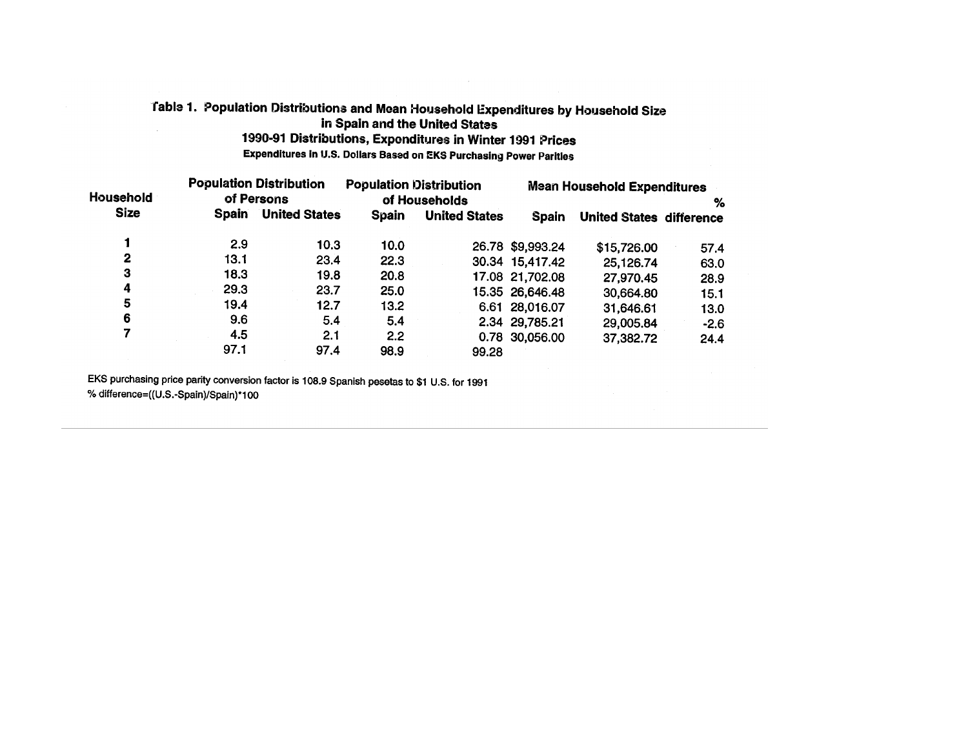#### Table 1. Population Distributions and Mean Household Expenditures by Household Size in Spain and the United States  $\sim$ 1990-91 Distributions, Expenditures in Winter 1991 Prices

Expenditures in U.S. Dollars Based on EKS Purchasing Power Parities

| Household       |              | <b>Population Distribution</b><br>of Persons | <b>Population Distribution</b> | of Households        | <b>Mean Household Expenditures</b><br>% |                                 |        |  |
|-----------------|--------------|----------------------------------------------|--------------------------------|----------------------|-----------------------------------------|---------------------------------|--------|--|
| <b>Size</b>     | <b>Spain</b> | <b>United States</b>                         | <b>Spain</b>                   | <b>United States</b> | Spain                                   | <b>United States difference</b> |        |  |
| 1               | 2.9          | 10.3                                         | 10.0                           |                      | 26.78 \$9,993.24                        | \$15,726.00                     | 57.4   |  |
| 2               | 13.1         | 23.4                                         | 22.3                           |                      | 30.34 15,417.42                         | 25,126.74                       | 63.0   |  |
| 3               | 18.3         | 19.8                                         | 20.8                           |                      | 17.08 21,702.08                         | 27,970.45                       | 28.9   |  |
| 4               | 29.3         | 23.7                                         | 25.0                           |                      | 15.35 26,646.48                         | 30,664.80                       | 15.1   |  |
| 5               | 19.4         | 12.7                                         | 13.2                           |                      | 6.61 28,016.07                          | 31,646.61                       | 13.0   |  |
| $6\phantom{1}6$ | 9.6          | 5.4                                          | 5.4                            |                      | 2.34 29,785.21                          | 29,005.84                       | $-2.6$ |  |
| 7               | 4.5          | 2.1                                          | 2.2                            |                      | 0.78 30,056.00                          | 37,382.72                       | 24.4   |  |
|                 | 97.1         | 97.4                                         | 98.9                           | 99.28                |                                         |                                 |        |  |

EKS purchasing price parity conversion factor is 108.9 Spanish pesetas to \$1 U.S. for 1991 % difference=((U.S.-Spain)/Spain)\*100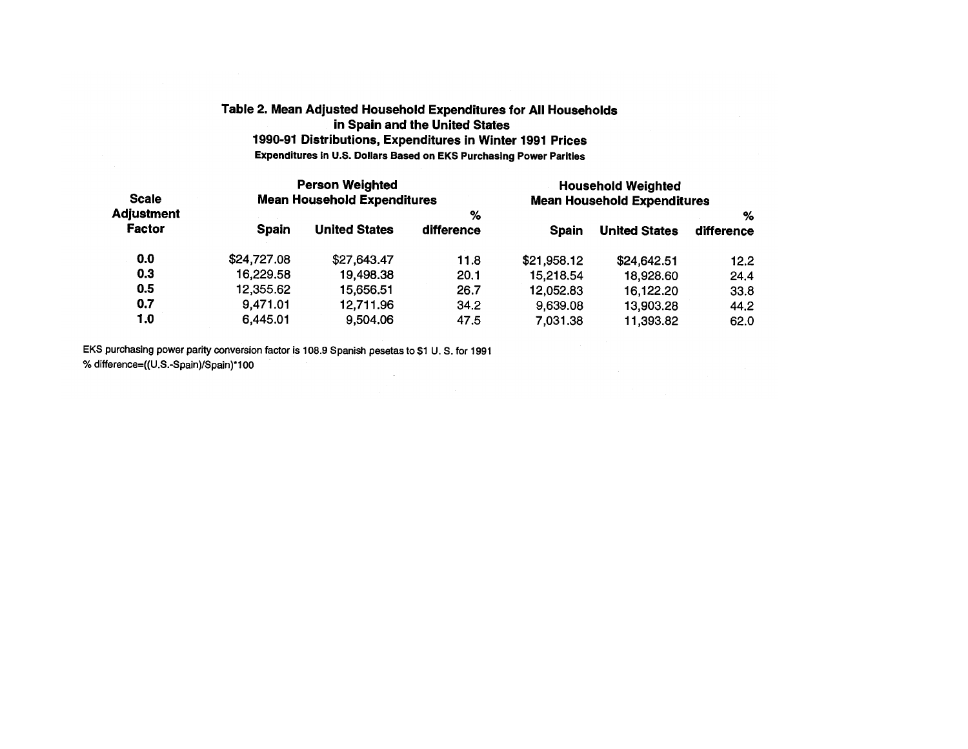## Table 2. Mean Adjusted Household Expenditures for All Households in Spain and the United States 1990-91 Distributions, Expenditures in Winter 1991 Prices Expenditures in U.S. Dollars Based on EKS Purchasing Power Parities

| <b>Scale</b>                       |              | <b>Person Weighted</b>             |            | <b>Household Weighted</b><br><b>Mean Household Expenditures</b> |                      |            |  |  |  |
|------------------------------------|--------------|------------------------------------|------------|-----------------------------------------------------------------|----------------------|------------|--|--|--|
| <b>Adjustment</b><br><b>Factor</b> |              | <b>Mean Household Expenditures</b> | %          |                                                                 | %                    |            |  |  |  |
|                                    | <b>Spain</b> | <b>United States</b>               | difference | <b>Spain</b>                                                    | <b>United States</b> | difference |  |  |  |
| 0.0                                | \$24,727.08  | \$27,643.47                        | 11.8       | \$21,958.12                                                     | \$24,642.51          | 12.2       |  |  |  |
| 0.3                                | 16,229.58    | 19,498.38                          | 20.1       | 15,218.54                                                       | 18,928.60            | 24.4       |  |  |  |
| 0.5                                | 12,355.62    | 15,656.51                          | 26.7       | 12,052.83                                                       | 16,122.20            | 33.8       |  |  |  |
| 0.7                                | 9,471.01     | 12,711.96                          | 34.2       | 9,639.08                                                        | 13,903.28            | 44.2       |  |  |  |
| 1.0                                | 6,445.01     | 9,504.06                           | 47.5       | 7,031.38                                                        | 11,393.82            | 62.0       |  |  |  |

EKS purchasing power parity conversion factor is 108.9 Spanish pesetas to \$1 U.S. for 1991 % difference=((U.S.-Spain)/Spain)\*100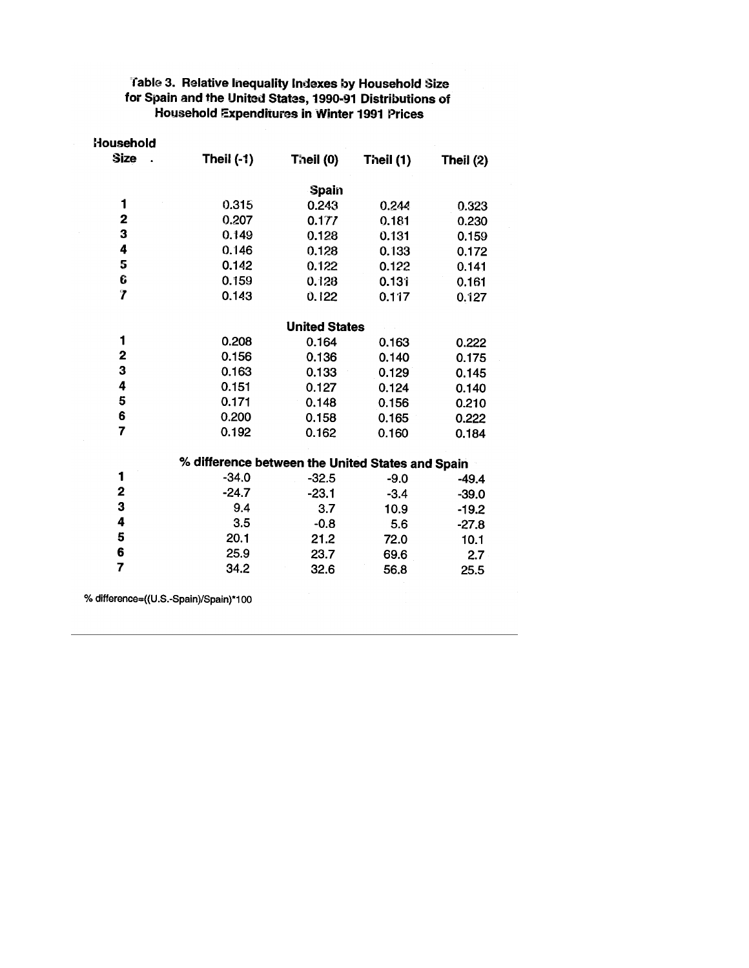## Table 3. Relative Inequality Indexes by Household Size<br>for Spain and the United States, 1990-91 Distributions of Household Expenditures in Winter 1991 Prices

| Household                             |                                                  |                      |           |           |
|---------------------------------------|--------------------------------------------------|----------------------|-----------|-----------|
| <b>Size</b>                           | <b>Theil (-1)</b>                                | Theil (0)            | Theil (1) | Theil (2) |
|                                       |                                                  | <b>Spain</b>         |           |           |
| 1                                     | 0.315                                            | 0.243                | 0.244     | 0.323     |
| 2                                     | 0.207                                            | 0.177                | 0.181     | 0.230     |
| 3                                     | 0.149                                            | 0.128                | 0.131     | 0.159     |
| 4                                     | 0.146                                            | 0.128                | 0.133     | 0.172     |
| 5                                     | 0.142                                            | 0.122                | 0.122     | 0.141     |
| Ĝ                                     | 0.159                                            | 0.128                | 0.131     | 0.161     |
| $\overline{7}$                        | 0.143                                            | 0.122                | 0.117     | 0.127     |
|                                       |                                                  | <b>United States</b> |           |           |
| 1                                     | 0.208                                            | 0.164                | 0.163     | 0.222     |
| $\overline{\mathbf{c}}$               | 0.156                                            | 0.136                | 0.140     | 0.175     |
| 3                                     | 0.163                                            | 0.133                | 0.129     | 0.145     |
| 4                                     | 0.151                                            | 0.127                | 0.124     | 0.140     |
| 5                                     | 0.171                                            | 0.148                | 0.156     | 0.210     |
| 6                                     | 0.200                                            | 0.158                | 0.165     | 0.222     |
| $\overline{7}$                        | 0.192                                            | 0.162                | 0.160     | 0.184     |
|                                       | % difference between the United States and Spain |                      |           |           |
| 1                                     | $-34.0$                                          | $-32.5$              | $-9.0$    | $-49.4$   |
| $\mathbf{2}$                          | $-24.7$                                          | $-23.1$              | $-3.4$    | $-39.0$   |
| 3                                     | 9.4                                              | 3.7                  | 10.9      | $-19.2$   |
| 4                                     | 3.5                                              | $-0.8$               | 5.6       | $-27.8$   |
| 5                                     | 20.1                                             | 21.2                 | 72.0      | 10.1      |
| 6                                     | 25.9                                             | 23.7                 | 69.6      | 2.7       |
| 7                                     | 34.2                                             | 32.6                 | 56.8      | 25.5      |
| % difference=((U.S.-Spain)/Spain)*100 |                                                  |                      |           |           |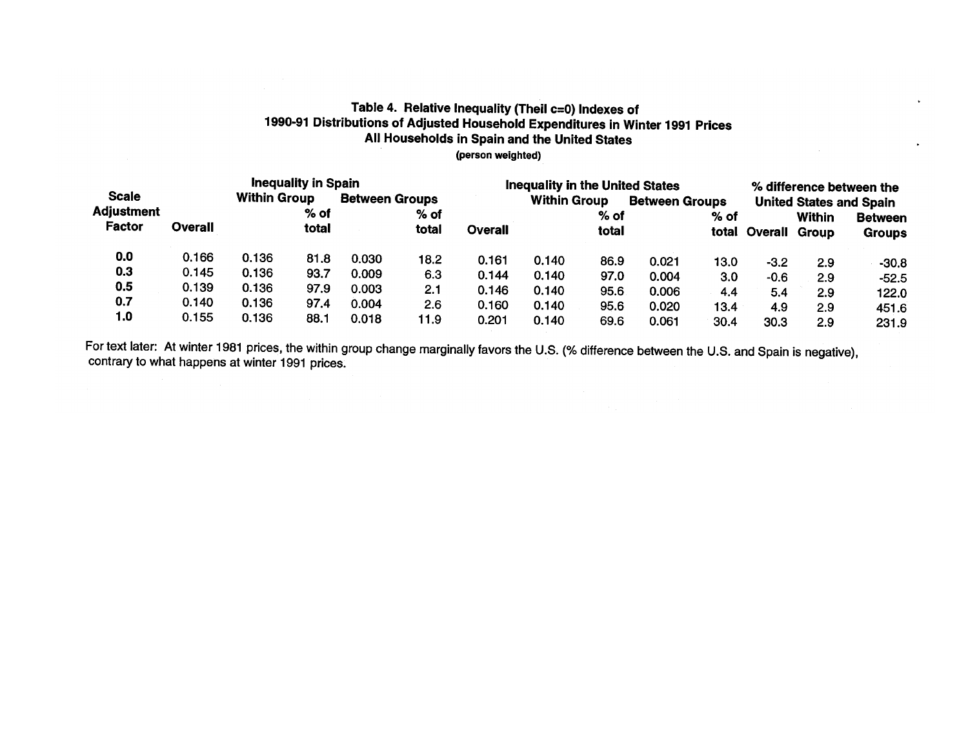## Table 4. Relative Inequality (Theil c=0) Indexes of 1990-91 Distributions of Adjusted Household Expenditures in Winter 1991 Prices All Households in Spain and the United States (person weighted)

|                   |                     | <b>Inequality in Spain</b> |                       |       |        |         | <b>Inequality in the United States</b> |       |                       |      |                                |               | % difference between the |  |  |
|-------------------|---------------------|----------------------------|-----------------------|-------|--------|---------|----------------------------------------|-------|-----------------------|------|--------------------------------|---------------|--------------------------|--|--|
| <b>Scale</b>      | <b>Within Group</b> |                            | <b>Between Groups</b> |       |        |         | <b>Within Group</b>                    |       | <b>Between Groups</b> |      | <b>United States and Spain</b> |               |                          |  |  |
| <b>Adjustment</b> |                     |                            | % of                  |       | $%$ of |         |                                        | % of  |                       | % of |                                | <b>Within</b> | <b>Between</b>           |  |  |
| Factor            | Overall             |                            | total                 |       | total  | Overall |                                        | total |                       |      | total Overall Group            |               | <b>Groups</b>            |  |  |
| 0.0               | 0.166               | 0.136                      | 81.8                  | 0.030 | 18.2   | 0.161   | 0.140                                  | 86.9  | 0.021                 | 13.0 | $-3.2$                         | 2.9           | $-30.8$                  |  |  |
| 0.3               | 0.145               | 0.136                      | 93.7                  | 0.009 | 6.3    | 0.144   | 0.140                                  | 97.0  | 0.004                 | 3.0  | $-0.6$                         | 2.9           | $-52.5$                  |  |  |
| 0.5               | 0.139               | 0.136                      | 97.9                  | 0.003 | 2.1    | 0.146   | 0.140                                  | 95.6  | 0.006                 | 4.4  | 5.4                            | 2.9           | 122.0                    |  |  |
| 0.7               | 0.140               | 0.136                      | 97.4                  | 0.004 | 2.6    | 0.160   | 0.140                                  | 95.6  | 0.020                 | 13.4 | 4.9                            | 2.9           | 451.6                    |  |  |
| 1.0               | 0.155               | 0.136                      | 88.1                  | 0.018 | 11.9   | 0.201   | 0.140                                  | 69.6  | 0.061                 | 30.4 | 30.3                           | 2.9           | 231.9                    |  |  |

For text later: At winter 1981 prices, the within group change marginally favors the U.S. (% difference between the U.S. and Spain is negative), contrary to what happens at winter 1991 prices.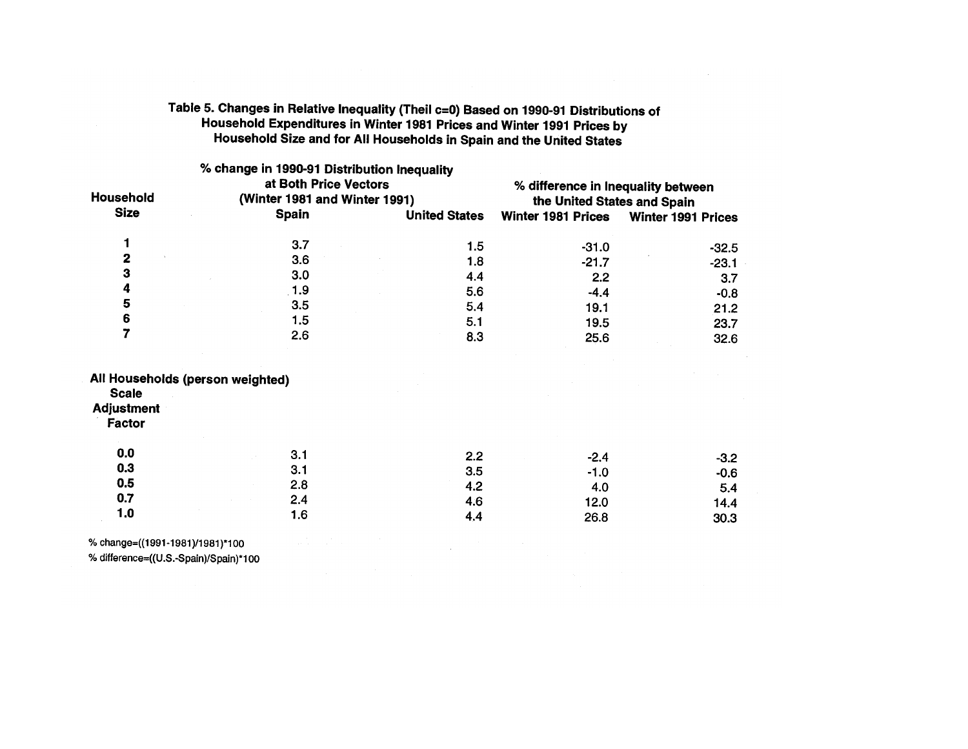## Table 5. Changes in Relative Inequality (Theil c=0) Based on 1990-91 Distributions of Household Expenditures in Winter 1981 Prices and Winter 1991 Prices by Household Size and for All Households in Spain and the United States

|                                  |                      | % difference in Inequality between<br>the United States and Spain                                                                                                    |                                                                                        |  |  |  |
|----------------------------------|----------------------|----------------------------------------------------------------------------------------------------------------------------------------------------------------------|----------------------------------------------------------------------------------------|--|--|--|
|                                  |                      |                                                                                                                                                                      |                                                                                        |  |  |  |
| <b>Spain</b>                     | <b>United States</b> | <b>Winter 1981 Prices</b>                                                                                                                                            | Winter 1991 Prices                                                                     |  |  |  |
| 3.7                              | 1.5                  |                                                                                                                                                                      | $-32.5$                                                                                |  |  |  |
| 3.6                              |                      |                                                                                                                                                                      | $-23.1$                                                                                |  |  |  |
| 3.0                              |                      |                                                                                                                                                                      | 3.7                                                                                    |  |  |  |
| 1.9                              |                      |                                                                                                                                                                      | $-0.8$                                                                                 |  |  |  |
| 3.5                              |                      |                                                                                                                                                                      | 21.2                                                                                   |  |  |  |
| 1.5                              |                      |                                                                                                                                                                      | 23.7                                                                                   |  |  |  |
| 2.6                              | 8.3                  | 25.6                                                                                                                                                                 | 32.6                                                                                   |  |  |  |
| All Households (person weighted) |                      |                                                                                                                                                                      |                                                                                        |  |  |  |
| 3.1                              |                      |                                                                                                                                                                      | $-3.2$                                                                                 |  |  |  |
| 3.1                              |                      |                                                                                                                                                                      | $-0.6$                                                                                 |  |  |  |
| 2.8                              |                      |                                                                                                                                                                      | 5.4                                                                                    |  |  |  |
| 2.4                              |                      |                                                                                                                                                                      | 14.4                                                                                   |  |  |  |
| 1.6                              | 4.4                  | 26.8                                                                                                                                                                 | 30.3                                                                                   |  |  |  |
|                                  |                      | % change in 1990-91 Distribution Inequality<br>at Both Price Vectors<br>(Winter 1981 and Winter 1991)<br>1.8<br>4.4<br>5.6<br>5.4<br>5.1<br>2.2<br>3.5<br>4.2<br>4.6 | $-31.0$<br>$-21.7$<br>2.2<br>$-4.4$<br>19.1<br>19.5<br>$-2.4$<br>$-1.0$<br>4.0<br>12.0 |  |  |  |

% change=((1991-1981)/1981)\*100

% difference=((U.S.-Spain)/Spain)\*100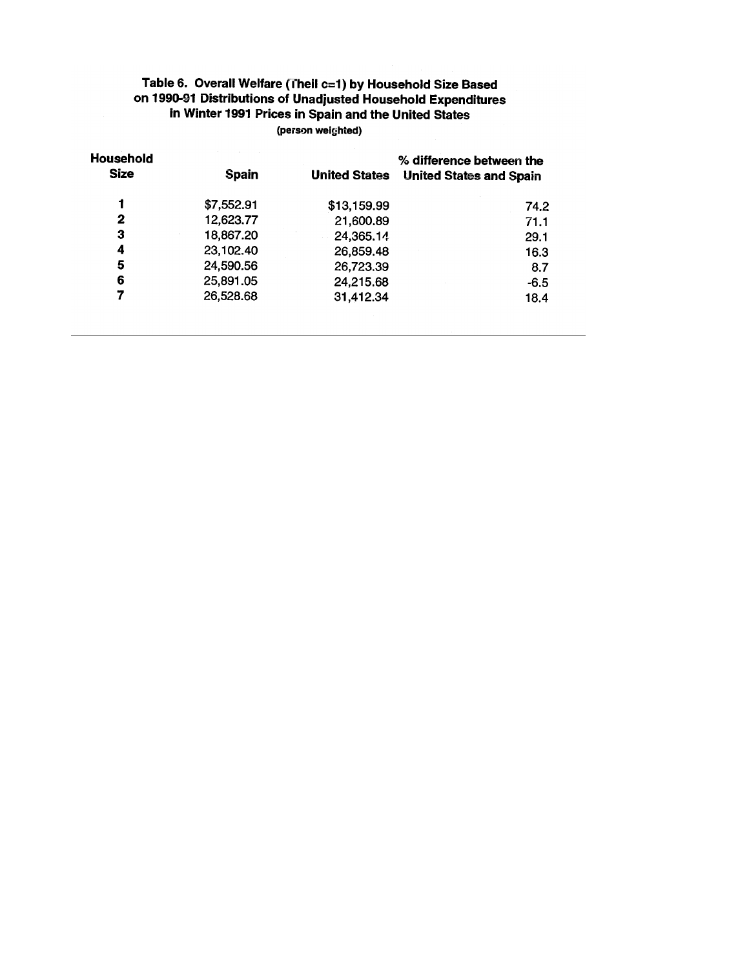## Table 6. Overall Welfare (Theil c=1) by Household Size Based on 1990-91 Distributions of Unadjusted Household Expenditures in Winter 1991 Prices in Spain and the United States (person weighted)

| Household<br><b>Size</b> | <b>Spain</b> | <b>United States</b> | % difference between the<br><b>United States and Spain</b> |
|--------------------------|--------------|----------------------|------------------------------------------------------------|
|                          | \$7,552.91   | \$13,159.99          | 74.2                                                       |
| 2                        | 12,623.77    | 21,600.89            | 71.1                                                       |
| з                        | 18,867.20    | 24,365.14            | 29.1                                                       |
| 4                        | 23,102.40    | 26,859.48            | 16.3                                                       |
| 5                        | 24,590.56    | 26,723.39            | 8.7                                                        |
| 6                        | 25,891.05    | 24,215.68            | $-6.5$                                                     |
|                          | 26,528.68    | 31,412.34            | 18.4                                                       |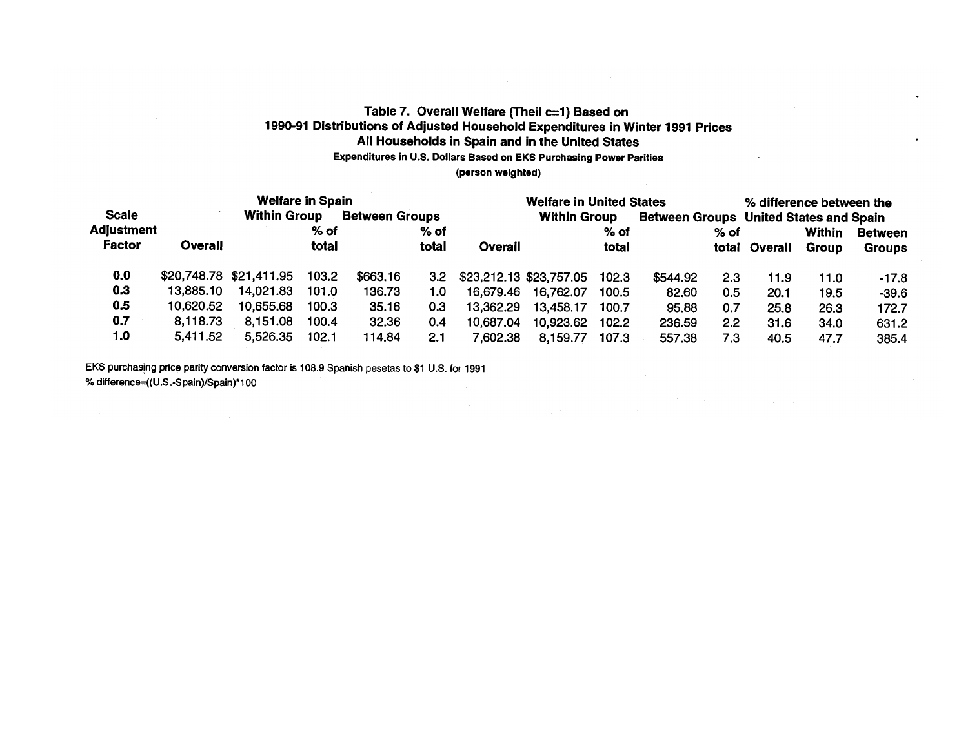## Table 7. Overall Welfare (Theil c=1) Based on 1990-91 Distributions of Adjusted Household Expenditures in Winter 1991 Prices All Households in Spain and in the United States Expenditures in U.S. Dollars Based on EKS Purchasing Power Parities (person weighted)

|                   |           | <b>Welfare in Spain</b> |       |                       |        |           | <b>Welfare in United States</b> |        |          |        |                                        | % difference between the |                |  |
|-------------------|-----------|-------------------------|-------|-----------------------|--------|-----------|---------------------------------|--------|----------|--------|----------------------------------------|--------------------------|----------------|--|
| <b>Scale</b>      |           | <b>Within Group</b>     |       | <b>Between Groups</b> |        |           | <b>Within Group</b>             |        |          |        | Between Groups United States and Spain |                          |                |  |
| <b>Adjustment</b> |           |                         | % of  |                       | $%$ of |           |                                 | $%$ of |          | $%$ of |                                        | Within                   | <b>Between</b> |  |
| Factor            | Overall   |                         | total |                       | total  | Overall   |                                 | total  |          | total  | Overall                                | Group                    | <b>Groups</b>  |  |
| 0.0               |           | \$20,748.78 \$21,411.95 | 103.2 | \$663,16              | 3.2    |           | \$23,212.13 \$23,757.05         | 102.3  | \$544.92 | 2.3    | 11.9                                   | 11.0                     | $-17.8$        |  |
| 0.3               | 13,885.10 | 14,021.83               | 101.0 | 136.73                | 1.0    | 16,679.46 | 16,762.07                       | 100.5  | 82.60    | 0.5    | 20.1                                   | 19.5                     | $-39.6$        |  |
| 0.5               | 10,620.52 | 10,655.68               | 100.3 | 35.16                 | 0.3    | 13,362.29 | 13,458.17                       | 100.7  | 95.88    | 0.7    | 25.8                                   | 26.3                     | 172.7          |  |
| 0.7               | 8,118.73  | 8,151.08                | 100.4 | 32.36                 | 0.4    | 10,687,04 | 10,923,62                       | 102.2  | 236.59   | 2.2    | 31.6                                   | 34.0                     | 631.2          |  |
| 1.0               | 5,411.52  | 5,526,35                | 102.1 | 114,84                | 2.1    | 7,602.38  | 8,159.77                        | 107.3  | 557.38   | 7.3    | 40.5                                   | 47.7                     | 385.4          |  |

EKS purchasing price parity conversion factor is 108.9 Spanish pesetas to \$1 U.S. for 1991 % difference=((U.S.-Spain)/Spain)\*100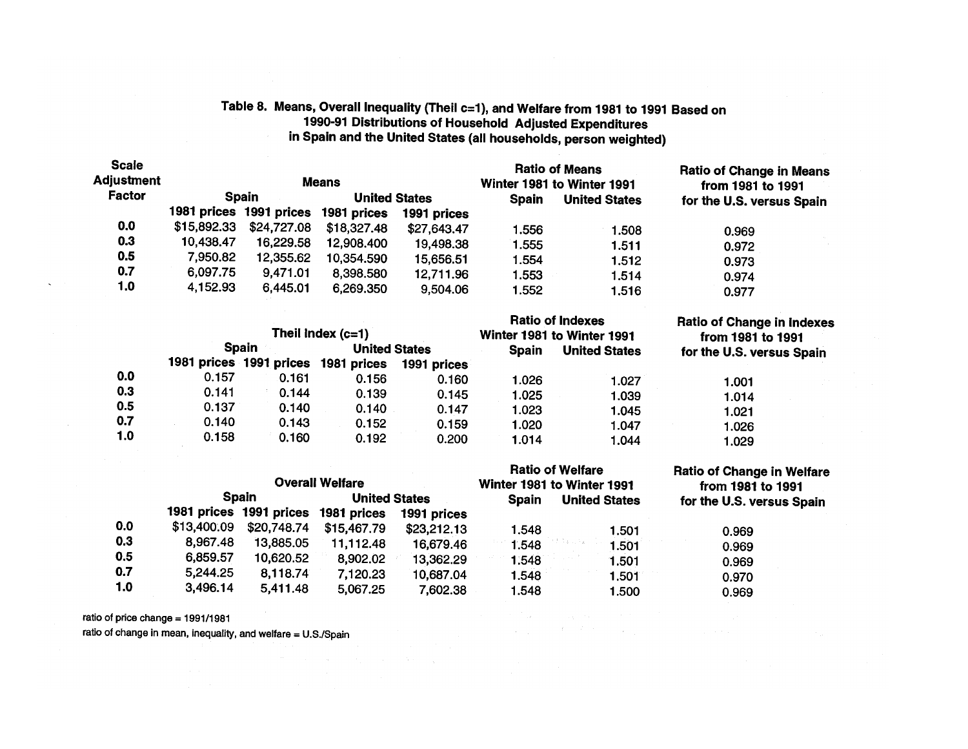# Table 8. Means, Overall Inequality (Theil c=1), and Welfare from 1981 to 1991 Based on<br>1990-91 Distributions of Household Adjusted Expenditures in Spain and the United States (all households, person weighted)

| <b>Scale</b><br>Adjustment |             |                         | <b>Means</b>         |             |              | <b>Ratio of Means</b><br>Winter 1981 to Winter 1991 | <b>Ratio of Change in Means</b><br>from 1981 to 1991 |  |
|----------------------------|-------------|-------------------------|----------------------|-------------|--------------|-----------------------------------------------------|------------------------------------------------------|--|
| Factor                     |             | <b>Spain</b>            | <b>United States</b> |             | <b>Spain</b> | <b>United States</b>                                | for the U.S. versus Spain                            |  |
|                            |             | 1981 prices 1991 prices | 1981 prices          | 1991 prices |              |                                                     |                                                      |  |
| 0.0                        | \$15,892.33 | \$24,727.08             | \$18,327.48          | \$27,643.47 | 1.556        | 1.508                                               | 0.969                                                |  |
| 0.3                        | 10,438.47   | 16,229.58               | 12,908.400           | 19,498.38   | 1.555        | 1.511                                               | 0.972                                                |  |
| 0.5                        | 7,950.82    | 12,355.62               | 10,354.590           | 15,656.51   | 1.554        | 1.512                                               | 0.973                                                |  |
| 0.7                        | 6,097.75    | 9,471.01                | 8,398.580            | 12,711.96   | 1.553        | 1.514                                               | 0.974                                                |  |
| 1.0                        | 4,152.93    | 6,445.01                | 6,269.350            | 9,504.06    | 1.552        | 1.516                                               | 0.977                                                |  |

|     |       | <b>Spain</b> | Theil index $(c=1)$<br><b>United States</b> |             | <b>Spain</b> | <b>Ratio of Indexes</b><br>Winter 1981 to Winter 1991<br><b>United States</b> | <b>Ratio of Change in Indexes</b><br>from 1981 to 1991<br>for the U.S. versus Spain |  |  |
|-----|-------|--------------|---------------------------------------------|-------------|--------------|-------------------------------------------------------------------------------|-------------------------------------------------------------------------------------|--|--|
|     |       |              | 1981 prices 1991 prices 1981 prices         | 1991 prices |              |                                                                               |                                                                                     |  |  |
| 0.0 | 0.157 | 0.161        | 0.156                                       | 0.160       | 1.026        | 1.027                                                                         | 1.001                                                                               |  |  |
| 0.3 | 0.141 | 0.144        | 0.139                                       | 0.145       | 1.025        | 1.039                                                                         | 1.014                                                                               |  |  |
| 0.5 | 0.137 | 0.140        | 0.140                                       | 0.147       | 1.023        | 1.045                                                                         | 1.021                                                                               |  |  |
| 0.7 | 0.140 | 0.143        | 0.152                                       | 0.159       | 1.020        | 1.047                                                                         | 1.026                                                                               |  |  |
| 1.0 | 0.158 | 0.160        | 0.192                                       | 0.200       | 1.014        | 1.044                                                                         | 1.029                                                                               |  |  |

|     |             |              | <b>Overall Welfare</b>              |                               |       | <b>Ratio of Welfare</b><br>Winter 1981 to Winter 1991 | <b>Ratio of Change in Welfare</b><br>from 1981 to 1991 |  |
|-----|-------------|--------------|-------------------------------------|-------------------------------|-------|-------------------------------------------------------|--------------------------------------------------------|--|
|     |             | <b>Spain</b> |                                     | <b>United States</b><br>Spain |       | <b>United States</b>                                  | for the U.S. versus Spain                              |  |
|     |             |              | 1981 prices 1991 prices 1981 prices | 1991 prices                   |       |                                                       |                                                        |  |
| 0.0 | \$13,400.09 | \$20,748.74  | \$15,467.79                         | \$23,212.13                   | 1.548 | 1.501                                                 | 0.969                                                  |  |
| 0.3 | 8,967.48    | 13,885.05    | 11.112.48                           | 16,679.46                     | 1.548 | 1.501                                                 | 0.969                                                  |  |
| 0.5 | 6,859.57    | 10,620.52    | 8,902.02                            | 13,362.29                     | 1.548 | 1.501                                                 | 0.969                                                  |  |
| 0.7 | 5,244.25    | 8,118.74     | 7,120.23                            | 10,687.04                     | 1.548 | 1.501                                                 | 0.970                                                  |  |
| 1.0 | 3,496.14    | 5,411.48     | 5,067.25                            | 7,602.38                      | 1.548 | 1.500                                                 | 0.969                                                  |  |

 $\sim$  40  $\sim$ 

ratio of price change = 1991/1981

ratio of change in mean, inequality, and welfare = U.S./Spain